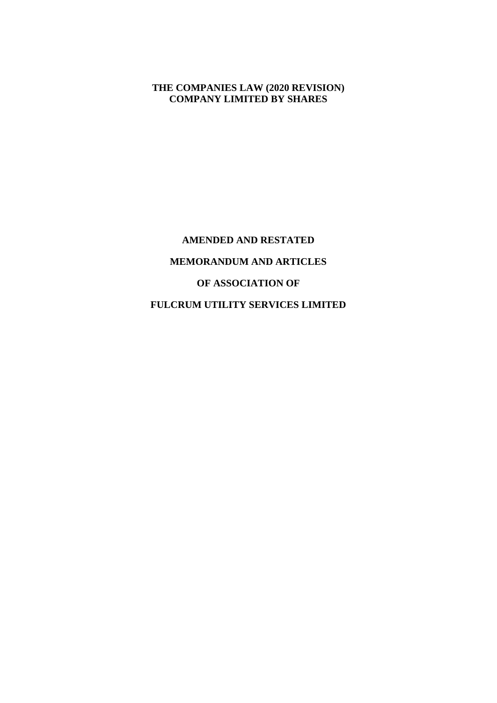### **THE COMPANIES LAW (2020 REVISION) COMPANY LIMITED BY SHARES**

**AMENDED AND RESTATED MEMORANDUM AND ARTICLES OF ASSOCIATION OF FULCRUM UTILITY SERVICES LIMITED**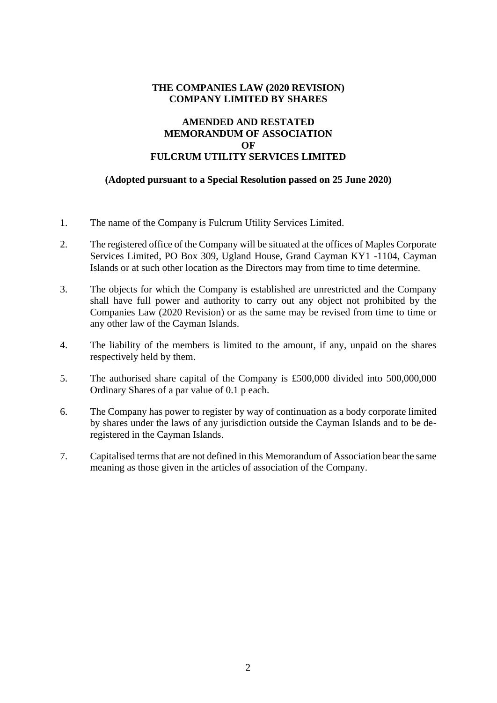### **THE COMPANIES LAW (2020 REVISION) COMPANY LIMITED BY SHARES**

## **AMENDED AND RESTATED MEMORANDUM OF ASSOCIATION OF FULCRUM UTILITY SERVICES LIMITED**

#### **(Adopted pursuant to a Special Resolution passed on 25 June 2020)**

- 1. The name of the Company is Fulcrum Utility Services Limited.
- 2. The registered office of the Company will be situated at the offices of Maples Corporate Services Limited, PO Box 309, Ugland House, Grand Cayman KY1 -1104, Cayman Islands or at such other location as the Directors may from time to time determine.
- 3. The objects for which the Company is established are unrestricted and the Company shall have full power and authority to carry out any object not prohibited by the Companies Law (2020 Revision) or as the same may be revised from time to time or any other law of the Cayman Islands.
- 4. The liability of the members is limited to the amount, if any, unpaid on the shares respectively held by them.
- 5. The authorised share capital of the Company is £500,000 divided into 500,000,000 Ordinary Shares of a par value of 0.1 p each.
- 6. The Company has power to register by way of continuation as a body corporate limited by shares under the laws of any jurisdiction outside the Cayman Islands and to be deregistered in the Cayman Islands.
- 7. Capitalised terms that are not defined in this Memorandum of Association bear the same meaning as those given in the articles of association of the Company.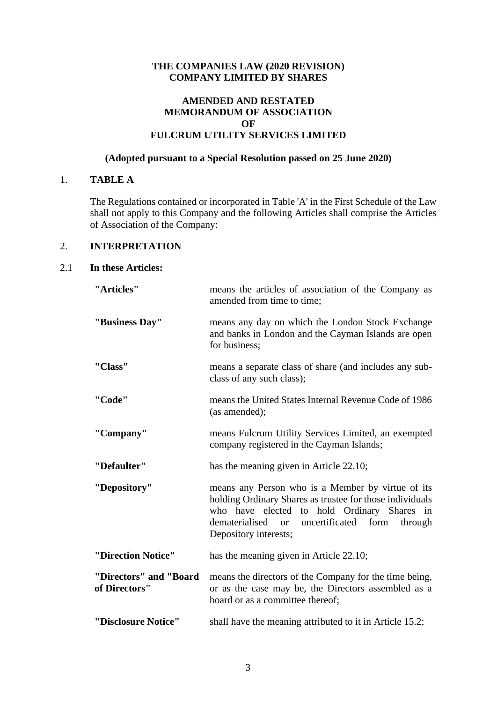### **THE COMPANIES LAW (2020 REVISION) COMPANY LIMITED BY SHARES**

### **AMENDED AND RESTATED MEMORANDUM OF ASSOCIATION OF FULCRUM UTILITY SERVICES LIMITED**

#### **(Adopted pursuant to a Special Resolution passed on 25 June 2020)**

# 1. **TABLE A**

The Regulations contained or incorporated in Table 'A' in the First Schedule of the Law shall not apply to this Company and the following Articles shall comprise the Articles of Association of the Company:

### 2. **INTERPRETATION**

### 2.1 **In these Articles:**

| "Articles"                              | means the articles of association of the Company as<br>amended from time to time;                                                                                                                                                            |
|-----------------------------------------|----------------------------------------------------------------------------------------------------------------------------------------------------------------------------------------------------------------------------------------------|
| "Business Day"                          | means any day on which the London Stock Exchange<br>and banks in London and the Cayman Islands are open<br>for business;                                                                                                                     |
| "Class"                                 | means a separate class of share (and includes any sub-<br>class of any such class);                                                                                                                                                          |
| "Code"                                  | means the United States Internal Revenue Code of 1986<br>(as amended);                                                                                                                                                                       |
| "Company"                               | means Fulcrum Utility Services Limited, an exempted<br>company registered in the Cayman Islands;                                                                                                                                             |
| "Defaulter"                             | has the meaning given in Article 22.10;                                                                                                                                                                                                      |
| "Depository"                            | means any Person who is a Member by virtue of its<br>holding Ordinary Shares as trustee for those individuals<br>who have elected to hold Ordinary Shares in<br>dematerialised or<br>uncertificated form<br>through<br>Depository interests; |
| "Direction Notice"                      | has the meaning given in Article 22.10;                                                                                                                                                                                                      |
| "Directors" and "Board<br>of Directors" | means the directors of the Company for the time being,<br>or as the case may be, the Directors assembled as a<br>board or as a committee thereof;                                                                                            |
| "Disclosure Notice"                     | shall have the meaning attributed to it in Article 15.2;                                                                                                                                                                                     |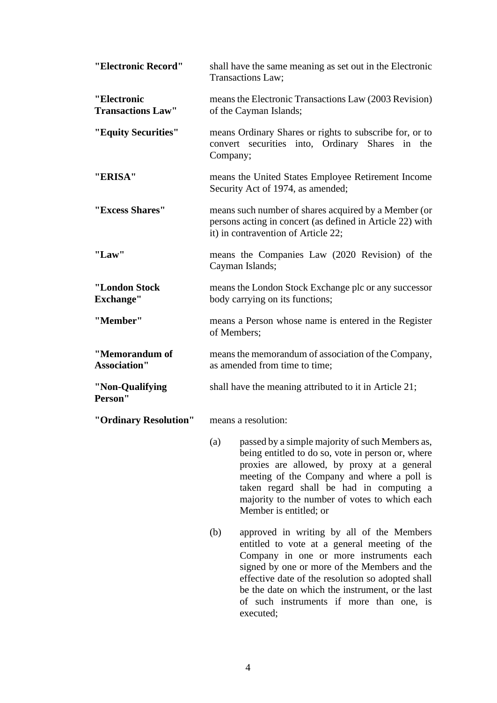| "Electronic Record"                     | shall have the same meaning as set out in the Electronic<br>Transactions Law;                                                                                                                                                                                                                                                                    |
|-----------------------------------------|--------------------------------------------------------------------------------------------------------------------------------------------------------------------------------------------------------------------------------------------------------------------------------------------------------------------------------------------------|
| "Electronic<br><b>Transactions Law"</b> | means the Electronic Transactions Law (2003 Revision)<br>of the Cayman Islands;                                                                                                                                                                                                                                                                  |
| "Equity Securities"                     | means Ordinary Shares or rights to subscribe for, or to<br>Shares in<br>convert securities into, Ordinary<br>the<br>Company;                                                                                                                                                                                                                     |
| "ERISA"                                 | means the United States Employee Retirement Income<br>Security Act of 1974, as amended;                                                                                                                                                                                                                                                          |
| "Excess Shares"                         | means such number of shares acquired by a Member (or<br>persons acting in concert (as defined in Article 22) with<br>it) in contravention of Article 22;                                                                                                                                                                                         |
| "Law"                                   | means the Companies Law (2020 Revision) of the<br>Cayman Islands;                                                                                                                                                                                                                                                                                |
| "London Stock<br><b>Exchange"</b>       | means the London Stock Exchange plc or any successor<br>body carrying on its functions;                                                                                                                                                                                                                                                          |
| "Member"                                | means a Person whose name is entered in the Register<br>of Members;                                                                                                                                                                                                                                                                              |
| "Memorandum of<br><b>Association"</b>   | means the memorandum of association of the Company,<br>as amended from time to time;                                                                                                                                                                                                                                                             |
| "Non-Qualifying<br>Person"              | shall have the meaning attributed to it in Article 21;                                                                                                                                                                                                                                                                                           |
| "Ordinary Resolution"                   | means a resolution:                                                                                                                                                                                                                                                                                                                              |
|                                         | passed by a simple majority of such Members as,<br>(a)<br>being entitled to do so, vote in person or, where<br>proxies are allowed, by proxy at a general<br>meeting of the Company and where a poll is<br>taken regard shall be had in computing a<br>majority to the number of votes to which each<br>Member is entitled; or                   |
|                                         | approved in writing by all of the Members<br>(b)<br>entitled to vote at a general meeting of the<br>Company in one or more instruments each<br>signed by one or more of the Members and the<br>effective date of the resolution so adopted shall<br>be the date on which the instrument, or the last<br>of such instruments if more than one, is |

executed;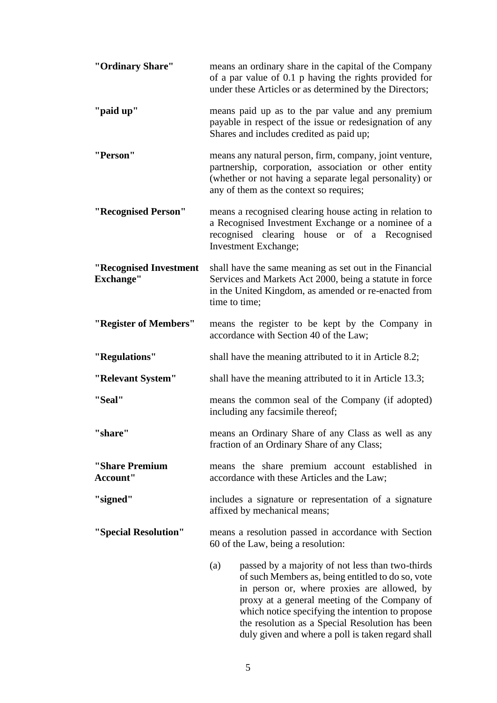| "Ordinary Share"                           | means an ordinary share in the capital of the Company<br>of a par value of 0.1 p having the rights provided for<br>under these Articles or as determined by the Directors;                                                                                                                                                                                              |
|--------------------------------------------|-------------------------------------------------------------------------------------------------------------------------------------------------------------------------------------------------------------------------------------------------------------------------------------------------------------------------------------------------------------------------|
| "paid up"                                  | means paid up as to the par value and any premium<br>payable in respect of the issue or redesignation of any<br>Shares and includes credited as paid up;                                                                                                                                                                                                                |
| "Person"                                   | means any natural person, firm, company, joint venture,<br>partnership, corporation, association or other entity<br>(whether or not having a separate legal personality) or<br>any of them as the context so requires;                                                                                                                                                  |
| "Recognised Person"                        | means a recognised clearing house acting in relation to<br>a Recognised Investment Exchange or a nominee of a<br>recognised clearing house or of a Recognised<br>Investment Exchange;                                                                                                                                                                                   |
| "Recognised Investment<br><b>Exchange"</b> | shall have the same meaning as set out in the Financial<br>Services and Markets Act 2000, being a statute in force<br>in the United Kingdom, as amended or re-enacted from<br>time to time;                                                                                                                                                                             |
| "Register of Members"                      | means the register to be kept by the Company in<br>accordance with Section 40 of the Law;                                                                                                                                                                                                                                                                               |
| "Regulations"                              | shall have the meaning attributed to it in Article 8.2;                                                                                                                                                                                                                                                                                                                 |
| "Relevant System"                          | shall have the meaning attributed to it in Article 13.3;                                                                                                                                                                                                                                                                                                                |
| "Seal"                                     | means the common seal of the Company (if adopted)<br>including any facsimile thereof;                                                                                                                                                                                                                                                                                   |
| "share"                                    | means an Ordinary Share of any Class as well as any<br>fraction of an Ordinary Share of any Class;                                                                                                                                                                                                                                                                      |
| "Share Premium<br>Account"                 | means the share premium account established in<br>accordance with these Articles and the Law;                                                                                                                                                                                                                                                                           |
| "signed"                                   | includes a signature or representation of a signature<br>affixed by mechanical means;                                                                                                                                                                                                                                                                                   |
| "Special Resolution"                       | means a resolution passed in accordance with Section<br>60 of the Law, being a resolution:                                                                                                                                                                                                                                                                              |
|                                            | (a)<br>passed by a majority of not less than two-thirds<br>of such Members as, being entitled to do so, vote<br>in person or, where proxies are allowed, by<br>proxy at a general meeting of the Company of<br>which notice specifying the intention to propose<br>the resolution as a Special Resolution has been<br>duly given and where a poll is taken regard shall |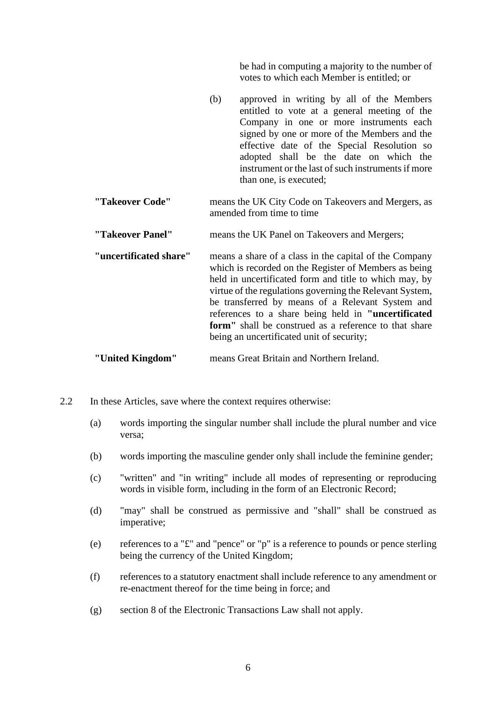be had in computing a majority to the number of votes to which each Member is entitled; or

- (b) approved in writing by all of the Members entitled to vote at a general meeting of the Company in one or more instruments each signed by one or more of the Members and the effective date of the Special Resolution so adopted shall be the date on which the instrument or the last of such instruments if more than one, is executed;
- **"Takeover Code"** means the UK City Code on Takeovers and Mergers, as amended from time to time
- **"Takeover Panel"** means the UK Panel on Takeovers and Mergers;

**"uncertificated share"** means a share of a class in the capital of the Company which is recorded on the Register of Members as being held in uncertificated form and title to which may, by virtue of the regulations governing the Relevant System, be transferred by means of a Relevant System and references to a share being held in **"uncertificated form"** shall be construed as a reference to that share being an uncertificated unit of security;

**"United Kingdom"** means Great Britain and Northern Ireland.

- 2.2 In these Articles, save where the context requires otherwise:
	- (a) words importing the singular number shall include the plural number and vice versa;
	- (b) words importing the masculine gender only shall include the feminine gender;
	- (c) "written" and "in writing" include all modes of representing or reproducing words in visible form, including in the form of an Electronic Record;
	- (d) "may" shall be construed as permissive and "shall" shall be construed as imperative;
	- (e) references to a "£" and "pence" or "p" is a reference to pounds or pence sterling being the currency of the United Kingdom;
	- (f) references to a statutory enactment shall include reference to any amendment or re-enactment thereof for the time being in force; and
	- (g) section 8 of the Electronic Transactions Law shall not apply.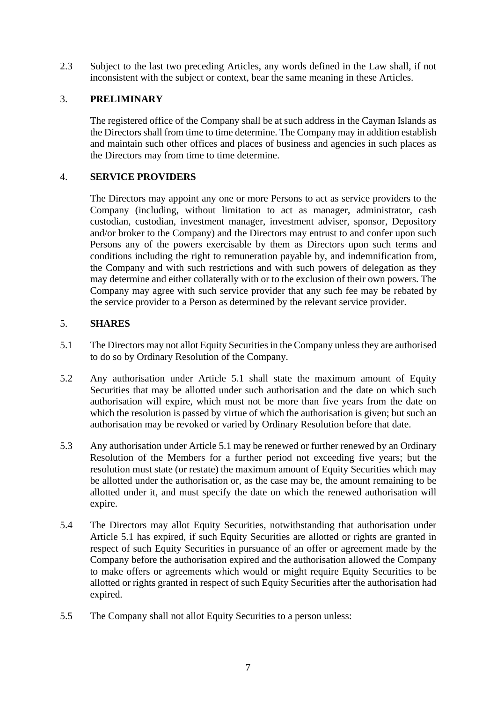2.3 Subject to the last two preceding Articles, any words defined in the Law shall, if not inconsistent with the subject or context, bear the same meaning in these Articles.

#### 3. **PRELIMINARY**

The registered office of the Company shall be at such address in the Cayman Islands as the Directors shall from time to time determine. The Company may in addition establish and maintain such other offices and places of business and agencies in such places as the Directors may from time to time determine.

### 4. **SERVICE PROVIDERS**

The Directors may appoint any one or more Persons to act as service providers to the Company (including, without limitation to act as manager, administrator, cash custodian, custodian, investment manager, investment adviser, sponsor, Depository and/or broker to the Company) and the Directors may entrust to and confer upon such Persons any of the powers exercisable by them as Directors upon such terms and conditions including the right to remuneration payable by, and indemnification from, the Company and with such restrictions and with such powers of delegation as they may determine and either collaterally with or to the exclusion of their own powers. The Company may agree with such service provider that any such fee may be rebated by the service provider to a Person as determined by the relevant service provider.

### 5. **SHARES**

- 5.1 The Directors may not allot Equity Securities in the Company unless they are authorised to do so by Ordinary Resolution of the Company.
- 5.2 Any authorisation under Article 5.1 shall state the maximum amount of Equity Securities that may be allotted under such authorisation and the date on which such authorisation will expire, which must not be more than five years from the date on which the resolution is passed by virtue of which the authorisation is given; but such an authorisation may be revoked or varied by Ordinary Resolution before that date.
- 5.3 Any authorisation under Article 5.1 may be renewed or further renewed by an Ordinary Resolution of the Members for a further period not exceeding five years; but the resolution must state (or restate) the maximum amount of Equity Securities which may be allotted under the authorisation or, as the case may be, the amount remaining to be allotted under it, and must specify the date on which the renewed authorisation will expire.
- 5.4 The Directors may allot Equity Securities, notwithstanding that authorisation under Article 5.1 has expired, if such Equity Securities are allotted or rights are granted in respect of such Equity Securities in pursuance of an offer or agreement made by the Company before the authorisation expired and the authorisation allowed the Company to make offers or agreements which would or might require Equity Securities to be allotted or rights granted in respect of such Equity Securities after the authorisation had expired.
- 5.5 The Company shall not allot Equity Securities to a person unless: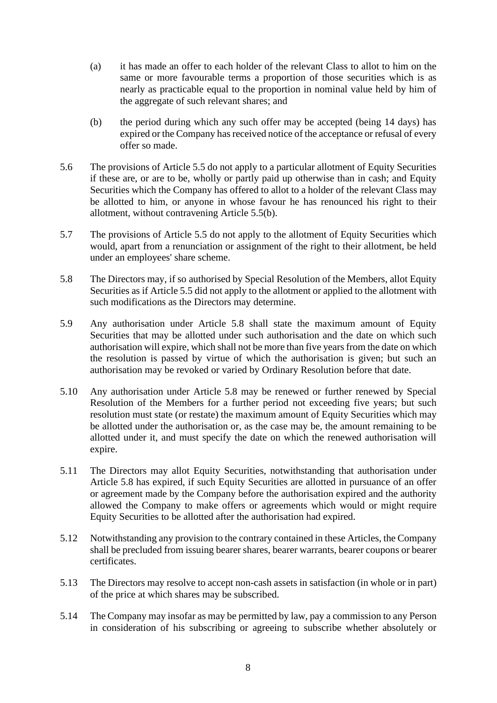- (a) it has made an offer to each holder of the relevant Class to allot to him on the same or more favourable terms a proportion of those securities which is as nearly as practicable equal to the proportion in nominal value held by him of the aggregate of such relevant shares; and
- (b) the period during which any such offer may be accepted (being 14 days) has expired or the Company has received notice of the acceptance or refusal of every offer so made.
- 5.6 The provisions of Article 5.5 do not apply to a particular allotment of Equity Securities if these are, or are to be, wholly or partly paid up otherwise than in cash; and Equity Securities which the Company has offered to allot to a holder of the relevant Class may be allotted to him, or anyone in whose favour he has renounced his right to their allotment, without contravening Article 5.5(b).
- 5.7 The provisions of Article 5.5 do not apply to the allotment of Equity Securities which would, apart from a renunciation or assignment of the right to their allotment, be held under an employees' share scheme.
- 5.8 The Directors may, if so authorised by Special Resolution of the Members, allot Equity Securities as if Article 5.5 did not apply to the allotment or applied to the allotment with such modifications as the Directors may determine.
- 5.9 Any authorisation under Article 5.8 shall state the maximum amount of Equity Securities that may be allotted under such authorisation and the date on which such authorisation will expire, which shall not be more than five years from the date on which the resolution is passed by virtue of which the authorisation is given; but such an authorisation may be revoked or varied by Ordinary Resolution before that date.
- 5.10 Any authorisation under Article 5.8 may be renewed or further renewed by Special Resolution of the Members for a further period not exceeding five years; but such resolution must state (or restate) the maximum amount of Equity Securities which may be allotted under the authorisation or, as the case may be, the amount remaining to be allotted under it, and must specify the date on which the renewed authorisation will expire.
- 5.11 The Directors may allot Equity Securities, notwithstanding that authorisation under Article 5.8 has expired, if such Equity Securities are allotted in pursuance of an offer or agreement made by the Company before the authorisation expired and the authority allowed the Company to make offers or agreements which would or might require Equity Securities to be allotted after the authorisation had expired.
- 5.12 Notwithstanding any provision to the contrary contained in these Articles, the Company shall be precluded from issuing bearer shares, bearer warrants, bearer coupons or bearer certificates.
- 5.13 The Directors may resolve to accept non-cash assets in satisfaction (in whole or in part) of the price at which shares may be subscribed.
- 5.14 The Company may insofar as may be permitted by law, pay a commission to any Person in consideration of his subscribing or agreeing to subscribe whether absolutely or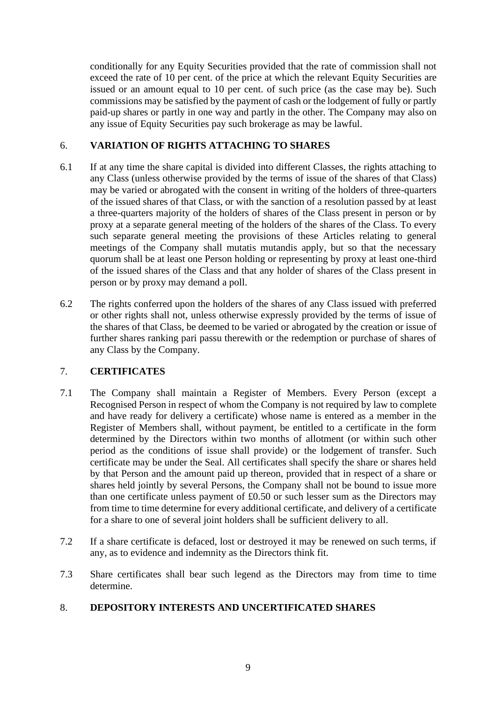conditionally for any Equity Securities provided that the rate of commission shall not exceed the rate of 10 per cent. of the price at which the relevant Equity Securities are issued or an amount equal to 10 per cent. of such price (as the case may be). Such commissions may be satisfied by the payment of cash or the lodgement of fully or partly paid-up shares or partly in one way and partly in the other. The Company may also on any issue of Equity Securities pay such brokerage as may be lawful.

### 6. **VARIATION OF RIGHTS ATTACHING TO SHARES**

- 6.1 If at any time the share capital is divided into different Classes, the rights attaching to any Class (unless otherwise provided by the terms of issue of the shares of that Class) may be varied or abrogated with the consent in writing of the holders of three-quarters of the issued shares of that Class, or with the sanction of a resolution passed by at least a three-quarters majority of the holders of shares of the Class present in person or by proxy at a separate general meeting of the holders of the shares of the Class. To every such separate general meeting the provisions of these Articles relating to general meetings of the Company shall mutatis mutandis apply, but so that the necessary quorum shall be at least one Person holding or representing by proxy at least one-third of the issued shares of the Class and that any holder of shares of the Class present in person or by proxy may demand a poll.
- 6.2 The rights conferred upon the holders of the shares of any Class issued with preferred or other rights shall not, unless otherwise expressly provided by the terms of issue of the shares of that Class, be deemed to be varied or abrogated by the creation or issue of further shares ranking pari passu therewith or the redemption or purchase of shares of any Class by the Company.

## 7. **CERTIFICATES**

- 7.1 The Company shall maintain a Register of Members. Every Person (except a Recognised Person in respect of whom the Company is not required by law to complete and have ready for delivery a certificate) whose name is entered as a member in the Register of Members shall, without payment, be entitled to a certificate in the form determined by the Directors within two months of allotment (or within such other period as the conditions of issue shall provide) or the lodgement of transfer. Such certificate may be under the Seal. All certificates shall specify the share or shares held by that Person and the amount paid up thereon, provided that in respect of a share or shares held jointly by several Persons, the Company shall not be bound to issue more than one certificate unless payment of £0.50 or such lesser sum as the Directors may from time to time determine for every additional certificate, and delivery of a certificate for a share to one of several joint holders shall be sufficient delivery to all.
- 7.2 If a share certificate is defaced, lost or destroyed it may be renewed on such terms, if any, as to evidence and indemnity as the Directors think fit.
- 7.3 Share certificates shall bear such legend as the Directors may from time to time determine.

## 8. **DEPOSITORY INTERESTS AND UNCERTIFICATED SHARES**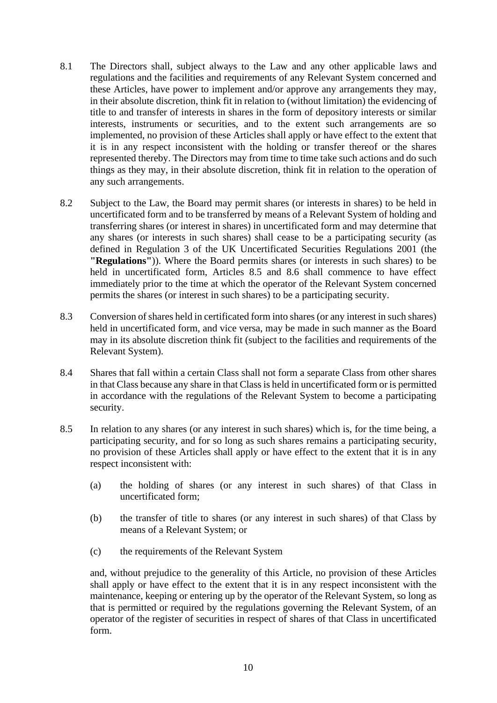- 8.1 The Directors shall, subject always to the Law and any other applicable laws and regulations and the facilities and requirements of any Relevant System concerned and these Articles, have power to implement and/or approve any arrangements they may, in their absolute discretion, think fit in relation to (without limitation) the evidencing of title to and transfer of interests in shares in the form of depository interests or similar interests, instruments or securities, and to the extent such arrangements are so implemented, no provision of these Articles shall apply or have effect to the extent that it is in any respect inconsistent with the holding or transfer thereof or the shares represented thereby. The Directors may from time to time take such actions and do such things as they may, in their absolute discretion, think fit in relation to the operation of any such arrangements.
- 8.2 Subject to the Law, the Board may permit shares (or interests in shares) to be held in uncertificated form and to be transferred by means of a Relevant System of holding and transferring shares (or interest in shares) in uncertificated form and may determine that any shares (or interests in such shares) shall cease to be a participating security (as defined in Regulation 3 of the UK Uncertificated Securities Regulations 2001 (the **"Regulations"**)). Where the Board permits shares (or interests in such shares) to be held in uncertificated form, Articles 8.5 and 8.6 shall commence to have effect immediately prior to the time at which the operator of the Relevant System concerned permits the shares (or interest in such shares) to be a participating security.
- 8.3 Conversion of shares held in certificated form into shares (or any interest in such shares) held in uncertificated form, and vice versa, may be made in such manner as the Board may in its absolute discretion think fit (subject to the facilities and requirements of the Relevant System).
- 8.4 Shares that fall within a certain Class shall not form a separate Class from other shares in that Class because any share in that Class is held in uncertificated form or is permitted in accordance with the regulations of the Relevant System to become a participating security.
- 8.5 In relation to any shares (or any interest in such shares) which is, for the time being, a participating security, and for so long as such shares remains a participating security, no provision of these Articles shall apply or have effect to the extent that it is in any respect inconsistent with:
	- (a) the holding of shares (or any interest in such shares) of that Class in uncertificated form;
	- (b) the transfer of title to shares (or any interest in such shares) of that Class by means of a Relevant System; or
	- (c) the requirements of the Relevant System

and, without prejudice to the generality of this Article, no provision of these Articles shall apply or have effect to the extent that it is in any respect inconsistent with the maintenance, keeping or entering up by the operator of the Relevant System, so long as that is permitted or required by the regulations governing the Relevant System, of an operator of the register of securities in respect of shares of that Class in uncertificated form.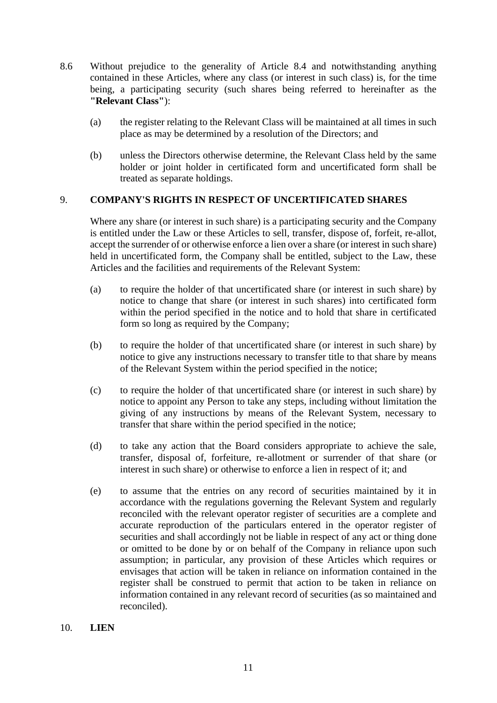- 8.6 Without prejudice to the generality of Article 8.4 and notwithstanding anything contained in these Articles, where any class (or interest in such class) is, for the time being, a participating security (such shares being referred to hereinafter as the **"Relevant Class"**):
	- (a) the register relating to the Relevant Class will be maintained at all times in such place as may be determined by a resolution of the Directors; and
	- (b) unless the Directors otherwise determine, the Relevant Class held by the same holder or joint holder in certificated form and uncertificated form shall be treated as separate holdings.

### 9. **COMPANY'S RIGHTS IN RESPECT OF UNCERTIFICATED SHARES**

Where any share (or interest in such share) is a participating security and the Company is entitled under the Law or these Articles to sell, transfer, dispose of, forfeit, re-allot, accept the surrender of or otherwise enforce a lien over a share (or interest in such share) held in uncertificated form, the Company shall be entitled, subject to the Law, these Articles and the facilities and requirements of the Relevant System:

- (a) to require the holder of that uncertificated share (or interest in such share) by notice to change that share (or interest in such shares) into certificated form within the period specified in the notice and to hold that share in certificated form so long as required by the Company;
- (b) to require the holder of that uncertificated share (or interest in such share) by notice to give any instructions necessary to transfer title to that share by means of the Relevant System within the period specified in the notice;
- (c) to require the holder of that uncertificated share (or interest in such share) by notice to appoint any Person to take any steps, including without limitation the giving of any instructions by means of the Relevant System, necessary to transfer that share within the period specified in the notice;
- (d) to take any action that the Board considers appropriate to achieve the sale, transfer, disposal of, forfeiture, re-allotment or surrender of that share (or interest in such share) or otherwise to enforce a lien in respect of it; and
- (e) to assume that the entries on any record of securities maintained by it in accordance with the regulations governing the Relevant System and regularly reconciled with the relevant operator register of securities are a complete and accurate reproduction of the particulars entered in the operator register of securities and shall accordingly not be liable in respect of any act or thing done or omitted to be done by or on behalf of the Company in reliance upon such assumption; in particular, any provision of these Articles which requires or envisages that action will be taken in reliance on information contained in the register shall be construed to permit that action to be taken in reliance on information contained in any relevant record of securities (as so maintained and reconciled).
- 10. **LIEN**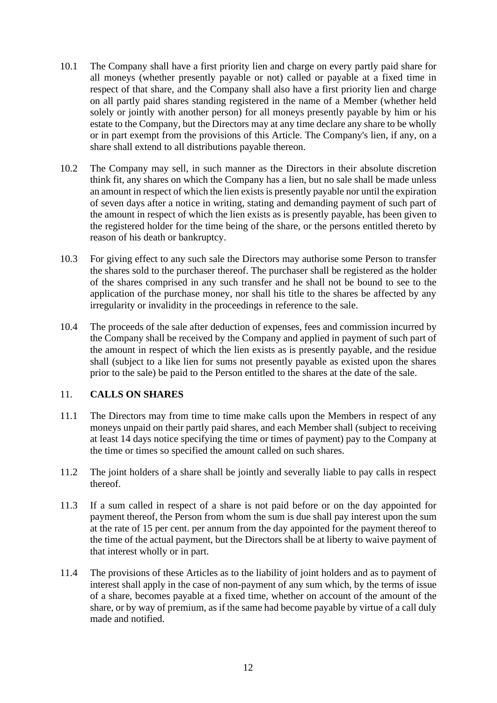- 10.1 The Company shall have a first priority lien and charge on every partly paid share for all moneys (whether presently payable or not) called or payable at a fixed time in respect of that share, and the Company shall also have a first priority lien and charge on all partly paid shares standing registered in the name of a Member (whether held solely or jointly with another person) for all moneys presently payable by him or his estate to the Company, but the Directors may at any time declare any share to be wholly or in part exempt from the provisions of this Article. The Company's lien, if any, on a share shall extend to all distributions payable thereon.
- 10.2 The Company may sell, in such manner as the Directors in their absolute discretion think fit, any shares on which the Company has a lien, but no sale shall be made unless an amount in respect of which the lien exists is presently payable nor until the expiration of seven days after a notice in writing, stating and demanding payment of such part of the amount in respect of which the lien exists as is presently payable, has been given to the registered holder for the time being of the share, or the persons entitled thereto by reason of his death or bankruptcy.
- 10.3 For giving effect to any such sale the Directors may authorise some Person to transfer the shares sold to the purchaser thereof. The purchaser shall be registered as the holder of the shares comprised in any such transfer and he shall not be bound to see to the application of the purchase money, nor shall his title to the shares be affected by any irregularity or invalidity in the proceedings in reference to the sale.
- 10.4 The proceeds of the sale after deduction of expenses, fees and commission incurred by the Company shall be received by the Company and applied in payment of such part of the amount in respect of which the lien exists as is presently payable, and the residue shall (subject to a like lien for sums not presently payable as existed upon the shares prior to the sale) be paid to the Person entitled to the shares at the date of the sale.

## 11. **CALLS ON SHARES**

- 11.1 The Directors may from time to time make calls upon the Members in respect of any moneys unpaid on their partly paid shares, and each Member shall (subject to receiving at least 14 days notice specifying the time or times of payment) pay to the Company at the time or times so specified the amount called on such shares.
- 11.2 The joint holders of a share shall be jointly and severally liable to pay calls in respect thereof.
- 11.3 If a sum called in respect of a share is not paid before or on the day appointed for payment thereof, the Person from whom the sum is due shall pay interest upon the sum at the rate of 15 per cent. per annum from the day appointed for the payment thereof to the time of the actual payment, but the Directors shall be at liberty to waive payment of that interest wholly or in part.
- 11.4 The provisions of these Articles as to the liability of joint holders and as to payment of interest shall apply in the case of non-payment of any sum which, by the terms of issue of a share, becomes payable at a fixed time, whether on account of the amount of the share, or by way of premium, as if the same had become payable by virtue of a call duly made and notified.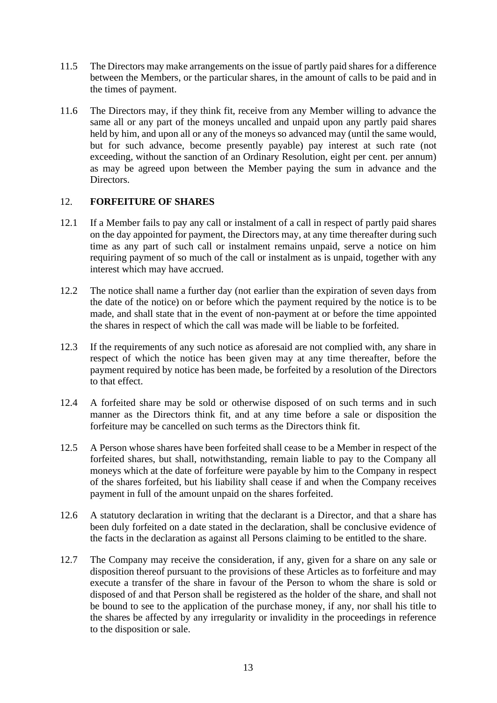- 11.5 The Directors may make arrangements on the issue of partly paid shares for a difference between the Members, or the particular shares, in the amount of calls to be paid and in the times of payment.
- 11.6 The Directors may, if they think fit, receive from any Member willing to advance the same all or any part of the moneys uncalled and unpaid upon any partly paid shares held by him, and upon all or any of the moneys so advanced may (until the same would, but for such advance, become presently payable) pay interest at such rate (not exceeding, without the sanction of an Ordinary Resolution, eight per cent. per annum) as may be agreed upon between the Member paying the sum in advance and the Directors.

## 12. **FORFEITURE OF SHARES**

- 12.1 If a Member fails to pay any call or instalment of a call in respect of partly paid shares on the day appointed for payment, the Directors may, at any time thereafter during such time as any part of such call or instalment remains unpaid, serve a notice on him requiring payment of so much of the call or instalment as is unpaid, together with any interest which may have accrued.
- 12.2 The notice shall name a further day (not earlier than the expiration of seven days from the date of the notice) on or before which the payment required by the notice is to be made, and shall state that in the event of non-payment at or before the time appointed the shares in respect of which the call was made will be liable to be forfeited.
- 12.3 If the requirements of any such notice as aforesaid are not complied with, any share in respect of which the notice has been given may at any time thereafter, before the payment required by notice has been made, be forfeited by a resolution of the Directors to that effect.
- 12.4 A forfeited share may be sold or otherwise disposed of on such terms and in such manner as the Directors think fit, and at any time before a sale or disposition the forfeiture may be cancelled on such terms as the Directors think fit.
- 12.5 A Person whose shares have been forfeited shall cease to be a Member in respect of the forfeited shares, but shall, notwithstanding, remain liable to pay to the Company all moneys which at the date of forfeiture were payable by him to the Company in respect of the shares forfeited, but his liability shall cease if and when the Company receives payment in full of the amount unpaid on the shares forfeited.
- 12.6 A statutory declaration in writing that the declarant is a Director, and that a share has been duly forfeited on a date stated in the declaration, shall be conclusive evidence of the facts in the declaration as against all Persons claiming to be entitled to the share.
- 12.7 The Company may receive the consideration, if any, given for a share on any sale or disposition thereof pursuant to the provisions of these Articles as to forfeiture and may execute a transfer of the share in favour of the Person to whom the share is sold or disposed of and that Person shall be registered as the holder of the share, and shall not be bound to see to the application of the purchase money, if any, nor shall his title to the shares be affected by any irregularity or invalidity in the proceedings in reference to the disposition or sale.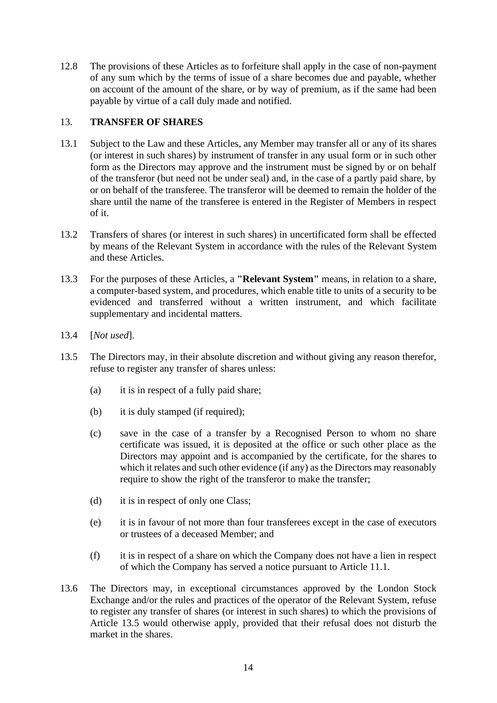12.8 The provisions of these Articles as to forfeiture shall apply in the case of non-payment of any sum which by the terms of issue of a share becomes due and payable, whether on account of the amount of the share, or by way of premium, as if the same had been payable by virtue of a call duly made and notified.

## 13. **TRANSFER OF SHARES**

- 13.1 Subject to the Law and these Articles, any Member may transfer all or any of its shares (or interest in such shares) by instrument of transfer in any usual form or in such other form as the Directors may approve and the instrument must be signed by or on behalf of the transferor (but need not be under seal) and, in the case of a partly paid share, by or on behalf of the transferee. The transferor will be deemed to remain the holder of the share until the name of the transferee is entered in the Register of Members in respect of it.
- 13.2 Transfers of shares (or interest in such shares) in uncertificated form shall be effected by means of the Relevant System in accordance with the rules of the Relevant System and these Articles.
- 13.3 For the purposes of these Articles, a **"Relevant System"** means, in relation to a share, a computer-based system, and procedures, which enable title to units of a security to be evidenced and transferred without a written instrument, and which facilitate supplementary and incidental matters.
- 13.4 [*Not used*].
- 13.5 The Directors may, in their absolute discretion and without giving any reason therefor, refuse to register any transfer of shares unless:
	- (a) it is in respect of a fully paid share;
	- (b) it is duly stamped (if required);
	- (c) save in the case of a transfer by a Recognised Person to whom no share certificate was issued, it is deposited at the office or such other place as the Directors may appoint and is accompanied by the certificate, for the shares to which it relates and such other evidence (if any) as the Directors may reasonably require to show the right of the transferor to make the transfer;
	- (d) it is in respect of only one Class;
	- (e) it is in favour of not more than four transferees except in the case of executors or trustees of a deceased Member; and
	- (f) it is in respect of a share on which the Company does not have a lien in respect of which the Company has served a notice pursuant to Article 11.1.
- 13.6 The Directors may, in exceptional circumstances approved by the London Stock Exchange and/or the rules and practices of the operator of the Relevant System, refuse to register any transfer of shares (or interest in such shares) to which the provisions of Article 13.5 would otherwise apply, provided that their refusal does not disturb the market in the shares.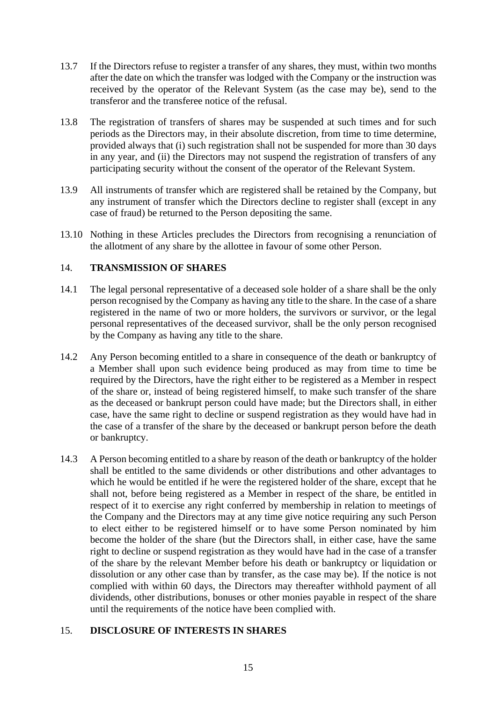- 13.7 If the Directors refuse to register a transfer of any shares, they must, within two months after the date on which the transfer was lodged with the Company or the instruction was received by the operator of the Relevant System (as the case may be), send to the transferor and the transferee notice of the refusal.
- 13.8 The registration of transfers of shares may be suspended at such times and for such periods as the Directors may, in their absolute discretion, from time to time determine, provided always that (i) such registration shall not be suspended for more than 30 days in any year, and (ii) the Directors may not suspend the registration of transfers of any participating security without the consent of the operator of the Relevant System.
- 13.9 All instruments of transfer which are registered shall be retained by the Company, but any instrument of transfer which the Directors decline to register shall (except in any case of fraud) be returned to the Person depositing the same.
- 13.10 Nothing in these Articles precludes the Directors from recognising a renunciation of the allotment of any share by the allottee in favour of some other Person.

### 14. **TRANSMISSION OF SHARES**

- 14.1 The legal personal representative of a deceased sole holder of a share shall be the only person recognised by the Company as having any title to the share. In the case of a share registered in the name of two or more holders, the survivors or survivor, or the legal personal representatives of the deceased survivor, shall be the only person recognised by the Company as having any title to the share.
- 14.2 Any Person becoming entitled to a share in consequence of the death or bankruptcy of a Member shall upon such evidence being produced as may from time to time be required by the Directors, have the right either to be registered as a Member in respect of the share or, instead of being registered himself, to make such transfer of the share as the deceased or bankrupt person could have made; but the Directors shall, in either case, have the same right to decline or suspend registration as they would have had in the case of a transfer of the share by the deceased or bankrupt person before the death or bankruptcy.
- 14.3 A Person becoming entitled to a share by reason of the death or bankruptcy of the holder shall be entitled to the same dividends or other distributions and other advantages to which he would be entitled if he were the registered holder of the share, except that he shall not, before being registered as a Member in respect of the share, be entitled in respect of it to exercise any right conferred by membership in relation to meetings of the Company and the Directors may at any time give notice requiring any such Person to elect either to be registered himself or to have some Person nominated by him become the holder of the share (but the Directors shall, in either case, have the same right to decline or suspend registration as they would have had in the case of a transfer of the share by the relevant Member before his death or bankruptcy or liquidation or dissolution or any other case than by transfer, as the case may be). If the notice is not complied with within 60 days, the Directors may thereafter withhold payment of all dividends, other distributions, bonuses or other monies payable in respect of the share until the requirements of the notice have been complied with.

## 15. **DISCLOSURE OF INTERESTS IN SHARES**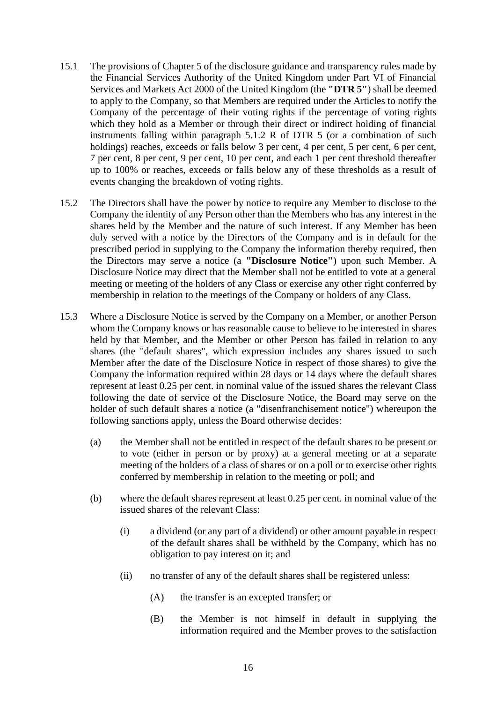- 15.1 The provisions of Chapter 5 of the disclosure guidance and transparency rules made by the Financial Services Authority of the United Kingdom under Part VI of Financial Services and Markets Act 2000 of the United Kingdom (the **"DTR 5"**) shall be deemed to apply to the Company, so that Members are required under the Articles to notify the Company of the percentage of their voting rights if the percentage of voting rights which they hold as a Member or through their direct or indirect holding of financial instruments falling within paragraph 5.1.2 R of DTR 5 (or a combination of such holdings) reaches, exceeds or falls below 3 per cent, 4 per cent, 5 per cent, 6 per cent, 7 per cent, 8 per cent, 9 per cent, 10 per cent, and each 1 per cent threshold thereafter up to 100% or reaches, exceeds or falls below any of these thresholds as a result of events changing the breakdown of voting rights.
- 15.2 The Directors shall have the power by notice to require any Member to disclose to the Company the identity of any Person other than the Members who has any interest in the shares held by the Member and the nature of such interest. If any Member has been duly served with a notice by the Directors of the Company and is in default for the prescribed period in supplying to the Company the information thereby required, then the Directors may serve a notice (a **"Disclosure Notice"**) upon such Member. A Disclosure Notice may direct that the Member shall not be entitled to vote at a general meeting or meeting of the holders of any Class or exercise any other right conferred by membership in relation to the meetings of the Company or holders of any Class.
- 15.3 Where a Disclosure Notice is served by the Company on a Member, or another Person whom the Company knows or has reasonable cause to believe to be interested in shares held by that Member, and the Member or other Person has failed in relation to any shares (the "default shares", which expression includes any shares issued to such Member after the date of the Disclosure Notice in respect of those shares) to give the Company the information required within 28 days or 14 days where the default shares represent at least 0.25 per cent. in nominal value of the issued shares the relevant Class following the date of service of the Disclosure Notice, the Board may serve on the holder of such default shares a notice (a "disenfranchisement notice") whereupon the following sanctions apply, unless the Board otherwise decides:
	- (a) the Member shall not be entitled in respect of the default shares to be present or to vote (either in person or by proxy) at a general meeting or at a separate meeting of the holders of a class of shares or on a poll or to exercise other rights conferred by membership in relation to the meeting or poll; and
	- (b) where the default shares represent at least 0.25 per cent. in nominal value of the issued shares of the relevant Class:
		- (i) a dividend (or any part of a dividend) or other amount payable in respect of the default shares shall be withheld by the Company, which has no obligation to pay interest on it; and
		- (ii) no transfer of any of the default shares shall be registered unless:
			- (A) the transfer is an excepted transfer; or
			- (B) the Member is not himself in default in supplying the information required and the Member proves to the satisfaction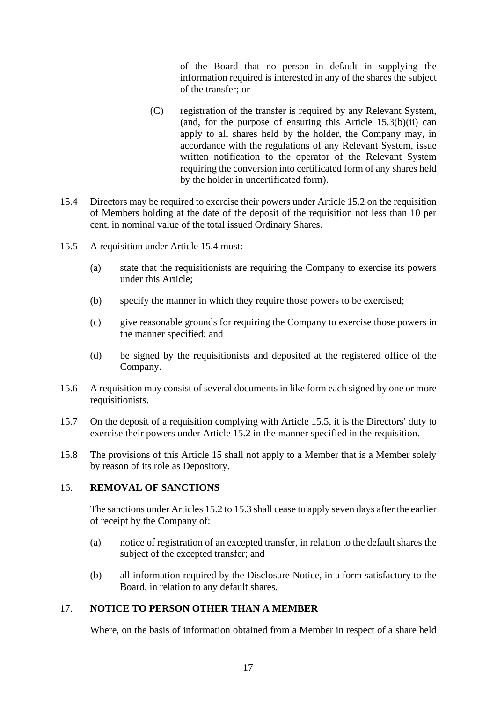of the Board that no person in default in supplying the information required is interested in any of the shares the subject of the transfer; or

- (C) registration of the transfer is required by any Relevant System, (and, for the purpose of ensuring this Article  $15.3(b)(ii)$  can apply to all shares held by the holder, the Company may, in accordance with the regulations of any Relevant System, issue written notification to the operator of the Relevant System requiring the conversion into certificated form of any shares held by the holder in uncertificated form).
- 15.4 Directors may be required to exercise their powers under Article 15.2 on the requisition of Members holding at the date of the deposit of the requisition not less than 10 per cent. in nominal value of the total issued Ordinary Shares.
- 15.5 A requisition under Article 15.4 must:
	- (a) state that the requisitionists are requiring the Company to exercise its powers under this Article;
	- (b) specify the manner in which they require those powers to be exercised;
	- (c) give reasonable grounds for requiring the Company to exercise those powers in the manner specified; and
	- (d) be signed by the requisitionists and deposited at the registered office of the Company.
- 15.6 A requisition may consist of several documents in like form each signed by one or more requisitionists.
- 15.7 On the deposit of a requisition complying with Article 15.5, it is the Directors' duty to exercise their powers under Article 15.2 in the manner specified in the requisition.
- 15.8 The provisions of this Article 15 shall not apply to a Member that is a Member solely by reason of its role as Depository.

### 16. **REMOVAL OF SANCTIONS**

The sanctions under Articles 15.2 to 15.3 shall cease to apply seven days after the earlier of receipt by the Company of:

- (a) notice of registration of an excepted transfer, in relation to the default shares the subject of the excepted transfer; and
- (b) all information required by the Disclosure Notice, in a form satisfactory to the Board, in relation to any default shares.

### 17. **NOTICE TO PERSON OTHER THAN A MEMBER**

Where, on the basis of information obtained from a Member in respect of a share held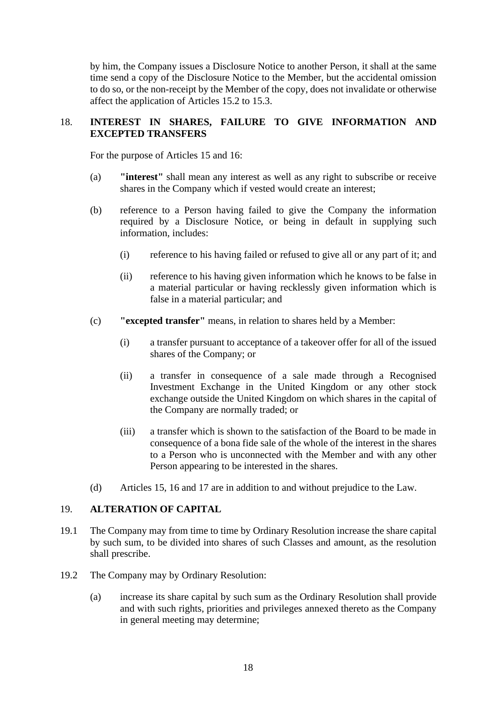by him, the Company issues a Disclosure Notice to another Person, it shall at the same time send a copy of the Disclosure Notice to the Member, but the accidental omission to do so, or the non-receipt by the Member of the copy, does not invalidate or otherwise affect the application of Articles 15.2 to 15.3.

### 18. **INTEREST IN SHARES, FAILURE TO GIVE INFORMATION AND EXCEPTED TRANSFERS**

For the purpose of Articles 15 and 16:

- (a) **"interest"** shall mean any interest as well as any right to subscribe or receive shares in the Company which if vested would create an interest;
- (b) reference to a Person having failed to give the Company the information required by a Disclosure Notice, or being in default in supplying such information, includes:
	- (i) reference to his having failed or refused to give all or any part of it; and
	- (ii) reference to his having given information which he knows to be false in a material particular or having recklessly given information which is false in a material particular; and
- (c) **"excepted transfer"** means, in relation to shares held by a Member:
	- (i) a transfer pursuant to acceptance of a takeover offer for all of the issued shares of the Company; or
	- (ii) a transfer in consequence of a sale made through a Recognised Investment Exchange in the United Kingdom or any other stock exchange outside the United Kingdom on which shares in the capital of the Company are normally traded; or
	- (iii) a transfer which is shown to the satisfaction of the Board to be made in consequence of a bona fide sale of the whole of the interest in the shares to a Person who is unconnected with the Member and with any other Person appearing to be interested in the shares.
- (d) Articles 15, 16 and 17 are in addition to and without prejudice to the Law.

#### 19. **ALTERATION OF CAPITAL**

- 19.1 The Company may from time to time by Ordinary Resolution increase the share capital by such sum, to be divided into shares of such Classes and amount, as the resolution shall prescribe.
- 19.2 The Company may by Ordinary Resolution:
	- (a) increase its share capital by such sum as the Ordinary Resolution shall provide and with such rights, priorities and privileges annexed thereto as the Company in general meeting may determine;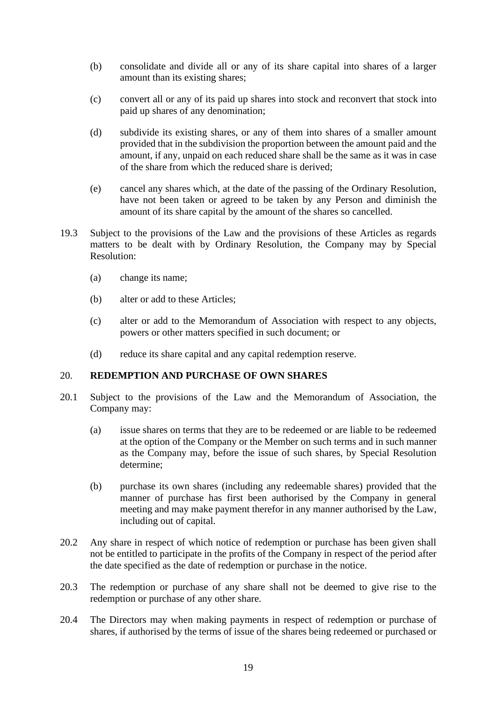- (b) consolidate and divide all or any of its share capital into shares of a larger amount than its existing shares;
- (c) convert all or any of its paid up shares into stock and reconvert that stock into paid up shares of any denomination;
- (d) subdivide its existing shares, or any of them into shares of a smaller amount provided that in the subdivision the proportion between the amount paid and the amount, if any, unpaid on each reduced share shall be the same as it was in case of the share from which the reduced share is derived;
- (e) cancel any shares which, at the date of the passing of the Ordinary Resolution, have not been taken or agreed to be taken by any Person and diminish the amount of its share capital by the amount of the shares so cancelled.
- 19.3 Subject to the provisions of the Law and the provisions of these Articles as regards matters to be dealt with by Ordinary Resolution, the Company may by Special Resolution:
	- (a) change its name;
	- (b) alter or add to these Articles;
	- (c) alter or add to the Memorandum of Association with respect to any objects, powers or other matters specified in such document; or
	- (d) reduce its share capital and any capital redemption reserve.

## 20. **REDEMPTION AND PURCHASE OF OWN SHARES**

- 20.1 Subject to the provisions of the Law and the Memorandum of Association, the Company may:
	- (a) issue shares on terms that they are to be redeemed or are liable to be redeemed at the option of the Company or the Member on such terms and in such manner as the Company may, before the issue of such shares, by Special Resolution determine;
	- (b) purchase its own shares (including any redeemable shares) provided that the manner of purchase has first been authorised by the Company in general meeting and may make payment therefor in any manner authorised by the Law, including out of capital.
- 20.2 Any share in respect of which notice of redemption or purchase has been given shall not be entitled to participate in the profits of the Company in respect of the period after the date specified as the date of redemption or purchase in the notice.
- 20.3 The redemption or purchase of any share shall not be deemed to give rise to the redemption or purchase of any other share.
- 20.4 The Directors may when making payments in respect of redemption or purchase of shares, if authorised by the terms of issue of the shares being redeemed or purchased or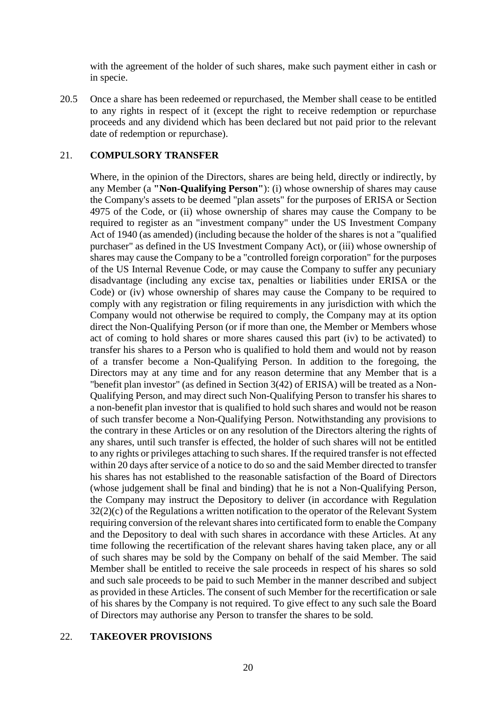with the agreement of the holder of such shares, make such payment either in cash or in specie.

20.5 Once a share has been redeemed or repurchased, the Member shall cease to be entitled to any rights in respect of it (except the right to receive redemption or repurchase proceeds and any dividend which has been declared but not paid prior to the relevant date of redemption or repurchase).

### 21. **COMPULSORY TRANSFER**

Where, in the opinion of the Directors, shares are being held, directly or indirectly, by any Member (a **"Non-Qualifying Person"**): (i) whose ownership of shares may cause the Company's assets to be deemed "plan assets" for the purposes of ERISA or Section 4975 of the Code, or (ii) whose ownership of shares may cause the Company to be required to register as an "investment company" under the US Investment Company Act of 1940 (as amended) (including because the holder of the shares is not a "qualified purchaser" as defined in the US Investment Company Act), or (iii) whose ownership of shares may cause the Company to be a "controlled foreign corporation" for the purposes of the US Internal Revenue Code, or may cause the Company to suffer any pecuniary disadvantage (including any excise tax, penalties or liabilities under ERISA or the Code) or (iv) whose ownership of shares may cause the Company to be required to comply with any registration or filing requirements in any jurisdiction with which the Company would not otherwise be required to comply, the Company may at its option direct the Non-Qualifying Person (or if more than one, the Member or Members whose act of coming to hold shares or more shares caused this part (iv) to be activated) to transfer his shares to a Person who is qualified to hold them and would not by reason of a transfer become a Non-Qualifying Person. In addition to the foregoing, the Directors may at any time and for any reason determine that any Member that is a "benefit plan investor" (as defined in Section 3(42) of ERISA) will be treated as a Non-Qualifying Person, and may direct such Non-Qualifying Person to transfer his shares to a non-benefit plan investor that is qualified to hold such shares and would not be reason of such transfer become a Non-Qualifying Person. Notwithstanding any provisions to the contrary in these Articles or on any resolution of the Directors altering the rights of any shares, until such transfer is effected, the holder of such shares will not be entitled to any rights or privileges attaching to such shares. If the required transfer is not effected within 20 days after service of a notice to do so and the said Member directed to transfer his shares has not established to the reasonable satisfaction of the Board of Directors (whose judgement shall be final and binding) that he is not a Non-Qualifying Person, the Company may instruct the Depository to deliver (in accordance with Regulation 32(2)(c) of the Regulations a written notification to the operator of the Relevant System requiring conversion of the relevant shares into certificated form to enable the Company and the Depository to deal with such shares in accordance with these Articles. At any time following the recertification of the relevant shares having taken place, any or all of such shares may be sold by the Company on behalf of the said Member. The said Member shall be entitled to receive the sale proceeds in respect of his shares so sold and such sale proceeds to be paid to such Member in the manner described and subject as provided in these Articles. The consent of such Member for the recertification or sale of his shares by the Company is not required. To give effect to any such sale the Board of Directors may authorise any Person to transfer the shares to be sold.

#### 22. **TAKEOVER PROVISIONS**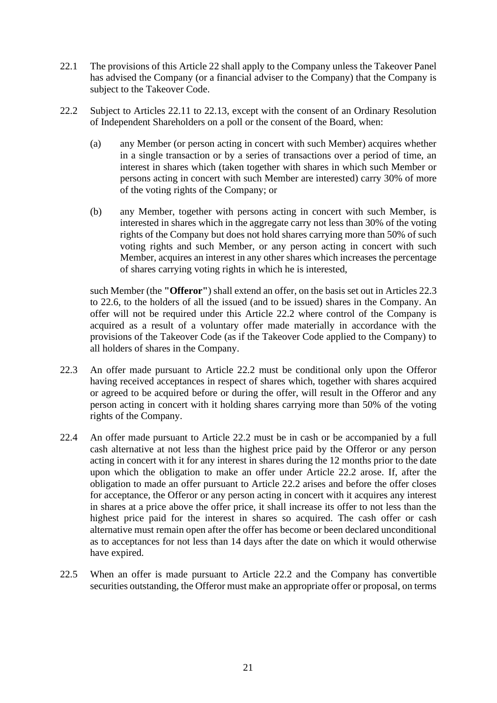- 22.1 The provisions of this Article 22 shall apply to the Company unless the Takeover Panel has advised the Company (or a financial adviser to the Company) that the Company is subject to the Takeover Code.
- 22.2 Subject to Articles 22.11 to 22.13, except with the consent of an Ordinary Resolution of Independent Shareholders on a poll or the consent of the Board, when:
	- (a) any Member (or person acting in concert with such Member) acquires whether in a single transaction or by a series of transactions over a period of time, an interest in shares which (taken together with shares in which such Member or persons acting in concert with such Member are interested) carry 30% of more of the voting rights of the Company; or
	- (b) any Member, together with persons acting in concert with such Member, is interested in shares which in the aggregate carry not less than 30% of the voting rights of the Company but does not hold shares carrying more than 50% of such voting rights and such Member, or any person acting in concert with such Member, acquires an interest in any other shares which increases the percentage of shares carrying voting rights in which he is interested,

such Member (the **"Offeror"**) shall extend an offer, on the basis set out in Articles 22.3 to 22.6, to the holders of all the issued (and to be issued) shares in the Company. An offer will not be required under this Article 22.2 where control of the Company is acquired as a result of a voluntary offer made materially in accordance with the provisions of the Takeover Code (as if the Takeover Code applied to the Company) to all holders of shares in the Company.

- 22.3 An offer made pursuant to Article 22.2 must be conditional only upon the Offeror having received acceptances in respect of shares which, together with shares acquired or agreed to be acquired before or during the offer, will result in the Offeror and any person acting in concert with it holding shares carrying more than 50% of the voting rights of the Company.
- 22.4 An offer made pursuant to Article 22.2 must be in cash or be accompanied by a full cash alternative at not less than the highest price paid by the Offeror or any person acting in concert with it for any interest in shares during the 12 months prior to the date upon which the obligation to make an offer under Article 22.2 arose. If, after the obligation to made an offer pursuant to Article 22.2 arises and before the offer closes for acceptance, the Offeror or any person acting in concert with it acquires any interest in shares at a price above the offer price, it shall increase its offer to not less than the highest price paid for the interest in shares so acquired. The cash offer or cash alternative must remain open after the offer has become or been declared unconditional as to acceptances for not less than 14 days after the date on which it would otherwise have expired.
- 22.5 When an offer is made pursuant to Article 22.2 and the Company has convertible securities outstanding, the Offeror must make an appropriate offer or proposal, on terms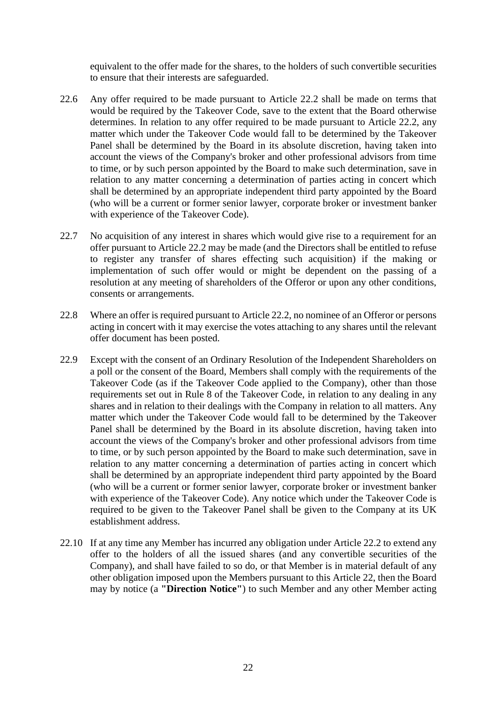equivalent to the offer made for the shares, to the holders of such convertible securities to ensure that their interests are safeguarded.

- 22.6 Any offer required to be made pursuant to Article 22.2 shall be made on terms that would be required by the Takeover Code, save to the extent that the Board otherwise determines. In relation to any offer required to be made pursuant to Article 22.2, any matter which under the Takeover Code would fall to be determined by the Takeover Panel shall be determined by the Board in its absolute discretion, having taken into account the views of the Company's broker and other professional advisors from time to time, or by such person appointed by the Board to make such determination, save in relation to any matter concerning a determination of parties acting in concert which shall be determined by an appropriate independent third party appointed by the Board (who will be a current or former senior lawyer, corporate broker or investment banker with experience of the Takeover Code).
- 22.7 No acquisition of any interest in shares which would give rise to a requirement for an offer pursuant to Article 22.2 may be made (and the Directors shall be entitled to refuse to register any transfer of shares effecting such acquisition) if the making or implementation of such offer would or might be dependent on the passing of a resolution at any meeting of shareholders of the Offeror or upon any other conditions, consents or arrangements.
- 22.8 Where an offer is required pursuant to Article 22.2, no nominee of an Offeror or persons acting in concert with it may exercise the votes attaching to any shares until the relevant offer document has been posted.
- 22.9 Except with the consent of an Ordinary Resolution of the Independent Shareholders on a poll or the consent of the Board, Members shall comply with the requirements of the Takeover Code (as if the Takeover Code applied to the Company), other than those requirements set out in Rule 8 of the Takeover Code, in relation to any dealing in any shares and in relation to their dealings with the Company in relation to all matters. Any matter which under the Takeover Code would fall to be determined by the Takeover Panel shall be determined by the Board in its absolute discretion, having taken into account the views of the Company's broker and other professional advisors from time to time, or by such person appointed by the Board to make such determination, save in relation to any matter concerning a determination of parties acting in concert which shall be determined by an appropriate independent third party appointed by the Board (who will be a current or former senior lawyer, corporate broker or investment banker with experience of the Takeover Code). Any notice which under the Takeover Code is required to be given to the Takeover Panel shall be given to the Company at its UK establishment address.
- 22.10 If at any time any Member has incurred any obligation under Article 22.2 to extend any offer to the holders of all the issued shares (and any convertible securities of the Company), and shall have failed to so do, or that Member is in material default of any other obligation imposed upon the Members pursuant to this Article 22, then the Board may by notice (a **"Direction Notice"**) to such Member and any other Member acting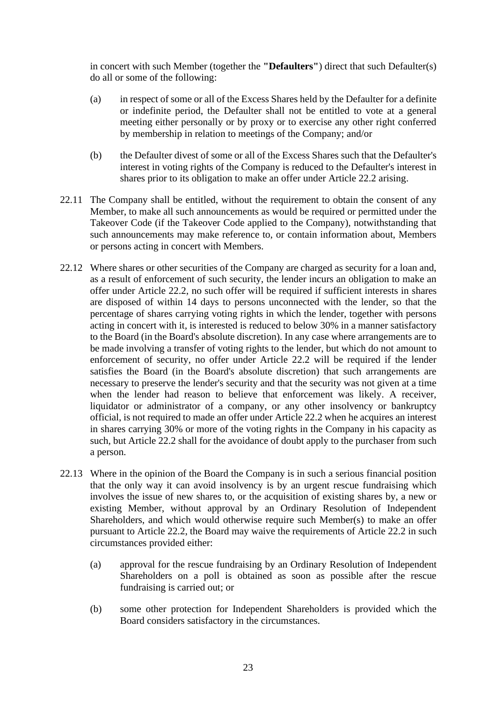in concert with such Member (together the **"Defaulters"**) direct that such Defaulter(s) do all or some of the following:

- (a) in respect of some or all of the Excess Shares held by the Defaulter for a definite or indefinite period, the Defaulter shall not be entitled to vote at a general meeting either personally or by proxy or to exercise any other right conferred by membership in relation to meetings of the Company; and/or
- (b) the Defaulter divest of some or all of the Excess Shares such that the Defaulter's interest in voting rights of the Company is reduced to the Defaulter's interest in shares prior to its obligation to make an offer under Article 22.2 arising.
- 22.11 The Company shall be entitled, without the requirement to obtain the consent of any Member, to make all such announcements as would be required or permitted under the Takeover Code (if the Takeover Code applied to the Company), notwithstanding that such announcements may make reference to, or contain information about, Members or persons acting in concert with Members.
- 22.12 Where shares or other securities of the Company are charged as security for a loan and, as a result of enforcement of such security, the lender incurs an obligation to make an offer under Article 22.2, no such offer will be required if sufficient interests in shares are disposed of within 14 days to persons unconnected with the lender, so that the percentage of shares carrying voting rights in which the lender, together with persons acting in concert with it, is interested is reduced to below 30% in a manner satisfactory to the Board (in the Board's absolute discretion). In any case where arrangements are to be made involving a transfer of voting rights to the lender, but which do not amount to enforcement of security, no offer under Article 22.2 will be required if the lender satisfies the Board (in the Board's absolute discretion) that such arrangements are necessary to preserve the lender's security and that the security was not given at a time when the lender had reason to believe that enforcement was likely. A receiver, liquidator or administrator of a company, or any other insolvency or bankruptcy official, is not required to made an offer under Article 22.2 when he acquires an interest in shares carrying 30% or more of the voting rights in the Company in his capacity as such, but Article 22.2 shall for the avoidance of doubt apply to the purchaser from such a person.
- 22.13 Where in the opinion of the Board the Company is in such a serious financial position that the only way it can avoid insolvency is by an urgent rescue fundraising which involves the issue of new shares to, or the acquisition of existing shares by, a new or existing Member, without approval by an Ordinary Resolution of Independent Shareholders, and which would otherwise require such Member(s) to make an offer pursuant to Article 22.2, the Board may waive the requirements of Article 22.2 in such circumstances provided either:
	- (a) approval for the rescue fundraising by an Ordinary Resolution of Independent Shareholders on a poll is obtained as soon as possible after the rescue fundraising is carried out; or
	- (b) some other protection for Independent Shareholders is provided which the Board considers satisfactory in the circumstances.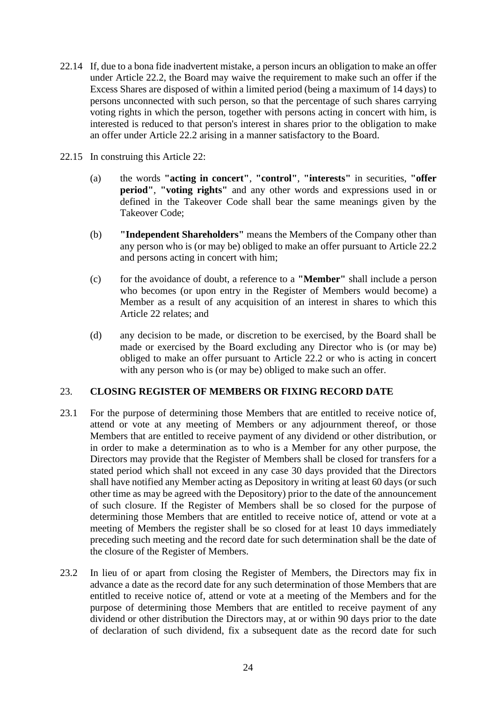- 22.14 If, due to a bona fide inadvertent mistake, a person incurs an obligation to make an offer under Article 22.2, the Board may waive the requirement to make such an offer if the Excess Shares are disposed of within a limited period (being a maximum of 14 days) to persons unconnected with such person, so that the percentage of such shares carrying voting rights in which the person, together with persons acting in concert with him, is interested is reduced to that person's interest in shares prior to the obligation to make an offer under Article 22.2 arising in a manner satisfactory to the Board.
- 22.15 In construing this Article 22:
	- (a) the words **"acting in concert"**, **"control"**, **"interests"** in securities, **"offer period"**, **"voting rights"** and any other words and expressions used in or defined in the Takeover Code shall bear the same meanings given by the Takeover Code;
	- (b) **"Independent Shareholders"** means the Members of the Company other than any person who is (or may be) obliged to make an offer pursuant to Article 22.2 and persons acting in concert with him;
	- (c) for the avoidance of doubt, a reference to a **"Member"** shall include a person who becomes (or upon entry in the Register of Members would become) a Member as a result of any acquisition of an interest in shares to which this Article 22 relates; and
	- (d) any decision to be made, or discretion to be exercised, by the Board shall be made or exercised by the Board excluding any Director who is (or may be) obliged to make an offer pursuant to Article 22.2 or who is acting in concert with any person who is (or may be) obliged to make such an offer.

## 23. **CLOSING REGISTER OF MEMBERS OR FIXING RECORD DATE**

- 23.1 For the purpose of determining those Members that are entitled to receive notice of, attend or vote at any meeting of Members or any adjournment thereof, or those Members that are entitled to receive payment of any dividend or other distribution, or in order to make a determination as to who is a Member for any other purpose, the Directors may provide that the Register of Members shall be closed for transfers for a stated period which shall not exceed in any case 30 days provided that the Directors shall have notified any Member acting as Depository in writing at least 60 days (or such other time as may be agreed with the Depository) prior to the date of the announcement of such closure. If the Register of Members shall be so closed for the purpose of determining those Members that are entitled to receive notice of, attend or vote at a meeting of Members the register shall be so closed for at least 10 days immediately preceding such meeting and the record date for such determination shall be the date of the closure of the Register of Members.
- 23.2 In lieu of or apart from closing the Register of Members, the Directors may fix in advance a date as the record date for any such determination of those Members that are entitled to receive notice of, attend or vote at a meeting of the Members and for the purpose of determining those Members that are entitled to receive payment of any dividend or other distribution the Directors may, at or within 90 days prior to the date of declaration of such dividend, fix a subsequent date as the record date for such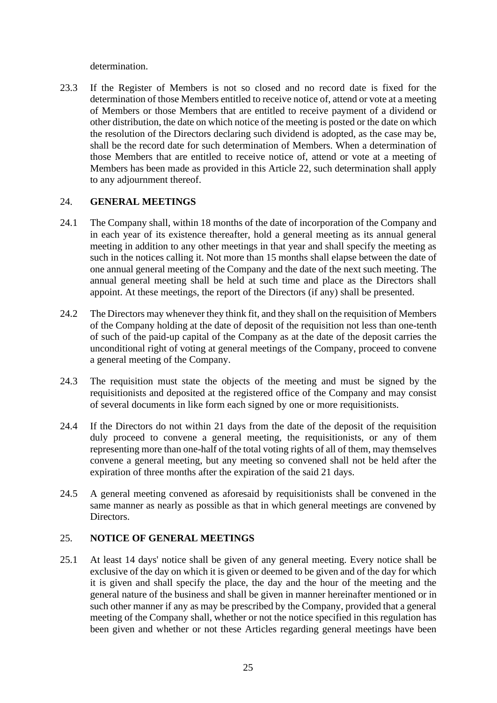determination.

23.3 If the Register of Members is not so closed and no record date is fixed for the determination of those Members entitled to receive notice of, attend or vote at a meeting of Members or those Members that are entitled to receive payment of a dividend or other distribution, the date on which notice of the meeting is posted or the date on which the resolution of the Directors declaring such dividend is adopted, as the case may be, shall be the record date for such determination of Members. When a determination of those Members that are entitled to receive notice of, attend or vote at a meeting of Members has been made as provided in this Article 22, such determination shall apply to any adjournment thereof.

### 24. **GENERAL MEETINGS**

- 24.1 The Company shall, within 18 months of the date of incorporation of the Company and in each year of its existence thereafter, hold a general meeting as its annual general meeting in addition to any other meetings in that year and shall specify the meeting as such in the notices calling it. Not more than 15 months shall elapse between the date of one annual general meeting of the Company and the date of the next such meeting. The annual general meeting shall be held at such time and place as the Directors shall appoint. At these meetings, the report of the Directors (if any) shall be presented.
- 24.2 The Directors may whenever they think fit, and they shall on the requisition of Members of the Company holding at the date of deposit of the requisition not less than one-tenth of such of the paid-up capital of the Company as at the date of the deposit carries the unconditional right of voting at general meetings of the Company, proceed to convene a general meeting of the Company.
- 24.3 The requisition must state the objects of the meeting and must be signed by the requisitionists and deposited at the registered office of the Company and may consist of several documents in like form each signed by one or more requisitionists.
- 24.4 If the Directors do not within 21 days from the date of the deposit of the requisition duly proceed to convene a general meeting, the requisitionists, or any of them representing more than one-half of the total voting rights of all of them, may themselves convene a general meeting, but any meeting so convened shall not be held after the expiration of three months after the expiration of the said 21 days.
- 24.5 A general meeting convened as aforesaid by requisitionists shall be convened in the same manner as nearly as possible as that in which general meetings are convened by Directors.

## 25. **NOTICE OF GENERAL MEETINGS**

25.1 At least 14 days' notice shall be given of any general meeting. Every notice shall be exclusive of the day on which it is given or deemed to be given and of the day for which it is given and shall specify the place, the day and the hour of the meeting and the general nature of the business and shall be given in manner hereinafter mentioned or in such other manner if any as may be prescribed by the Company, provided that a general meeting of the Company shall, whether or not the notice specified in this regulation has been given and whether or not these Articles regarding general meetings have been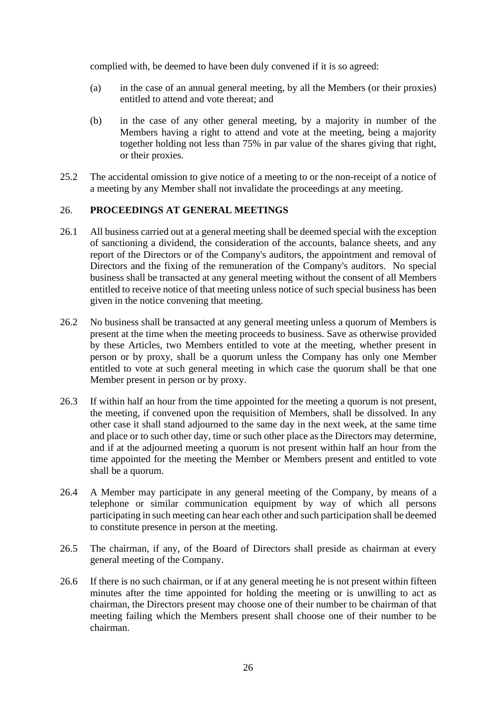complied with, be deemed to have been duly convened if it is so agreed:

- (a) in the case of an annual general meeting, by all the Members (or their proxies) entitled to attend and vote thereat; and
- (b) in the case of any other general meeting, by a majority in number of the Members having a right to attend and vote at the meeting, being a majority together holding not less than 75% in par value of the shares giving that right, or their proxies.
- 25.2 The accidental omission to give notice of a meeting to or the non-receipt of a notice of a meeting by any Member shall not invalidate the proceedings at any meeting.

#### 26. **PROCEEDINGS AT GENERAL MEETINGS**

- 26.1 All business carried out at a general meeting shall be deemed special with the exception of sanctioning a dividend, the consideration of the accounts, balance sheets, and any report of the Directors or of the Company's auditors, the appointment and removal of Directors and the fixing of the remuneration of the Company's auditors. No special business shall be transacted at any general meeting without the consent of all Members entitled to receive notice of that meeting unless notice of such special business has been given in the notice convening that meeting.
- 26.2 No business shall be transacted at any general meeting unless a quorum of Members is present at the time when the meeting proceeds to business. Save as otherwise provided by these Articles, two Members entitled to vote at the meeting, whether present in person or by proxy, shall be a quorum unless the Company has only one Member entitled to vote at such general meeting in which case the quorum shall be that one Member present in person or by proxy.
- 26.3 If within half an hour from the time appointed for the meeting a quorum is not present, the meeting, if convened upon the requisition of Members, shall be dissolved. In any other case it shall stand adjourned to the same day in the next week, at the same time and place or to such other day, time or such other place as the Directors may determine, and if at the adjourned meeting a quorum is not present within half an hour from the time appointed for the meeting the Member or Members present and entitled to vote shall be a quorum.
- 26.4 A Member may participate in any general meeting of the Company, by means of a telephone or similar communication equipment by way of which all persons participating in such meeting can hear each other and such participation shall be deemed to constitute presence in person at the meeting.
- 26.5 The chairman, if any, of the Board of Directors shall preside as chairman at every general meeting of the Company.
- 26.6 If there is no such chairman, or if at any general meeting he is not present within fifteen minutes after the time appointed for holding the meeting or is unwilling to act as chairman, the Directors present may choose one of their number to be chairman of that meeting failing which the Members present shall choose one of their number to be chairman.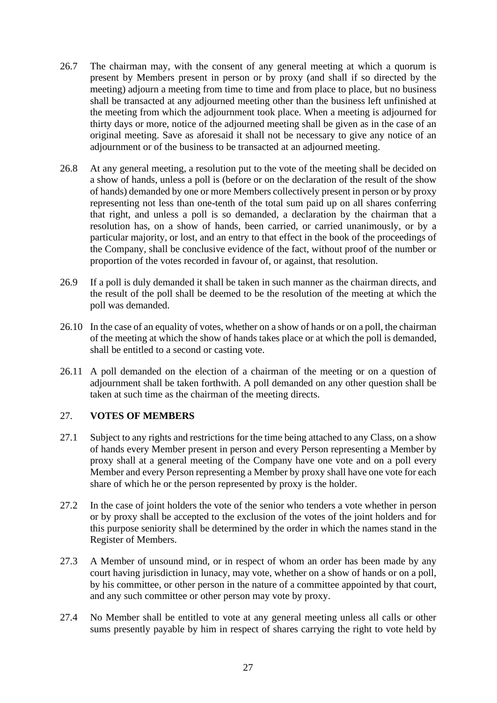- 26.7 The chairman may, with the consent of any general meeting at which a quorum is present by Members present in person or by proxy (and shall if so directed by the meeting) adjourn a meeting from time to time and from place to place, but no business shall be transacted at any adjourned meeting other than the business left unfinished at the meeting from which the adjournment took place. When a meeting is adjourned for thirty days or more, notice of the adjourned meeting shall be given as in the case of an original meeting. Save as aforesaid it shall not be necessary to give any notice of an adjournment or of the business to be transacted at an adjourned meeting.
- 26.8 At any general meeting, a resolution put to the vote of the meeting shall be decided on a show of hands, unless a poll is (before or on the declaration of the result of the show of hands) demanded by one or more Members collectively present in person or by proxy representing not less than one-tenth of the total sum paid up on all shares conferring that right, and unless a poll is so demanded, a declaration by the chairman that a resolution has, on a show of hands, been carried, or carried unanimously, or by a particular majority, or lost, and an entry to that effect in the book of the proceedings of the Company, shall be conclusive evidence of the fact, without proof of the number or proportion of the votes recorded in favour of, or against, that resolution.
- 26.9 If a poll is duly demanded it shall be taken in such manner as the chairman directs, and the result of the poll shall be deemed to be the resolution of the meeting at which the poll was demanded.
- 26.10 In the case of an equality of votes, whether on a show of hands or on a poll, the chairman of the meeting at which the show of hands takes place or at which the poll is demanded, shall be entitled to a second or casting vote.
- 26.11 A poll demanded on the election of a chairman of the meeting or on a question of adjournment shall be taken forthwith. A poll demanded on any other question shall be taken at such time as the chairman of the meeting directs.

### 27. **VOTES OF MEMBERS**

- 27.1 Subject to any rights and restrictions for the time being attached to any Class, on a show of hands every Member present in person and every Person representing a Member by proxy shall at a general meeting of the Company have one vote and on a poll every Member and every Person representing a Member by proxy shall have one vote for each share of which he or the person represented by proxy is the holder.
- 27.2 In the case of joint holders the vote of the senior who tenders a vote whether in person or by proxy shall be accepted to the exclusion of the votes of the joint holders and for this purpose seniority shall be determined by the order in which the names stand in the Register of Members.
- 27.3 A Member of unsound mind, or in respect of whom an order has been made by any court having jurisdiction in lunacy, may vote, whether on a show of hands or on a poll, by his committee, or other person in the nature of a committee appointed by that court, and any such committee or other person may vote by proxy.
- 27.4 No Member shall be entitled to vote at any general meeting unless all calls or other sums presently payable by him in respect of shares carrying the right to vote held by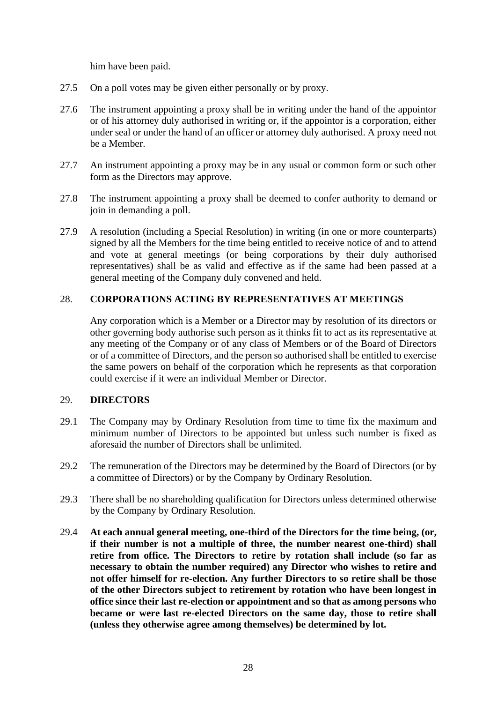him have been paid.

- 27.5 On a poll votes may be given either personally or by proxy.
- 27.6 The instrument appointing a proxy shall be in writing under the hand of the appointor or of his attorney duly authorised in writing or, if the appointor is a corporation, either under seal or under the hand of an officer or attorney duly authorised. A proxy need not be a Member.
- 27.7 An instrument appointing a proxy may be in any usual or common form or such other form as the Directors may approve.
- 27.8 The instrument appointing a proxy shall be deemed to confer authority to demand or join in demanding a poll.
- 27.9 A resolution (including a Special Resolution) in writing (in one or more counterparts) signed by all the Members for the time being entitled to receive notice of and to attend and vote at general meetings (or being corporations by their duly authorised representatives) shall be as valid and effective as if the same had been passed at a general meeting of the Company duly convened and held.

# 28. **CORPORATIONS ACTING BY REPRESENTATIVES AT MEETINGS**

Any corporation which is a Member or a Director may by resolution of its directors or other governing body authorise such person as it thinks fit to act as its representative at any meeting of the Company or of any class of Members or of the Board of Directors or of a committee of Directors, and the person so authorised shall be entitled to exercise the same powers on behalf of the corporation which he represents as that corporation could exercise if it were an individual Member or Director.

#### 29. **DIRECTORS**

- 29.1 The Company may by Ordinary Resolution from time to time fix the maximum and minimum number of Directors to be appointed but unless such number is fixed as aforesaid the number of Directors shall be unlimited.
- 29.2 The remuneration of the Directors may be determined by the Board of Directors (or by a committee of Directors) or by the Company by Ordinary Resolution.
- 29.3 There shall be no shareholding qualification for Directors unless determined otherwise by the Company by Ordinary Resolution.
- 29.4 **At each annual general meeting, one-third of the Directors for the time being, (or, if their number is not a multiple of three, the number nearest one-third) shall retire from office. The Directors to retire by rotation shall include (so far as necessary to obtain the number required) any Director who wishes to retire and not offer himself for re-election. Any further Directors to so retire shall be those of the other Directors subject to retirement by rotation who have been longest in office since their last re-election or appointment and so that as among persons who became or were last re-elected Directors on the same day, those to retire shall (unless they otherwise agree among themselves) be determined by lot.**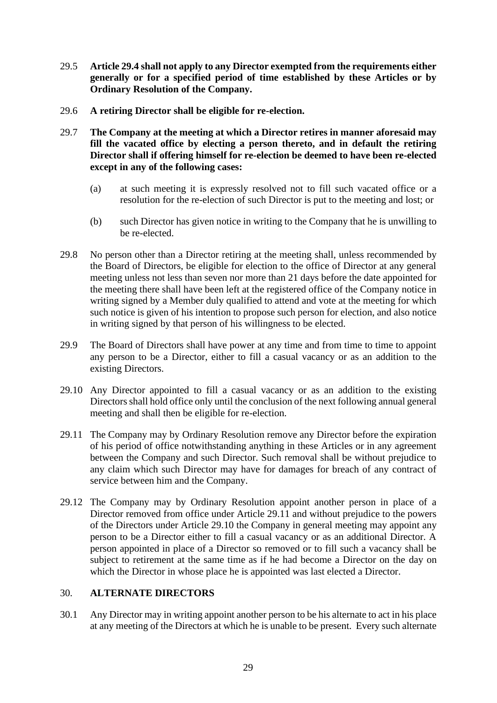- 29.5 **Article 29.4 shall not apply to any Director exempted from the requirements either generally or for a specified period of time established by these Articles or by Ordinary Resolution of the Company.**
- 29.6 **A retiring Director shall be eligible for re-election.**
- 29.7 **The Company at the meeting at which a Director retires in manner aforesaid may fill the vacated office by electing a person thereto, and in default the retiring Director shall if offering himself for re-election be deemed to have been re-elected except in any of the following cases:**
	- (a) at such meeting it is expressly resolved not to fill such vacated office or a resolution for the re-election of such Director is put to the meeting and lost; or
	- (b) such Director has given notice in writing to the Company that he is unwilling to be re-elected.
- 29.8 No person other than a Director retiring at the meeting shall, unless recommended by the Board of Directors, be eligible for election to the office of Director at any general meeting unless not less than seven nor more than 21 days before the date appointed for the meeting there shall have been left at the registered office of the Company notice in writing signed by a Member duly qualified to attend and vote at the meeting for which such notice is given of his intention to propose such person for election, and also notice in writing signed by that person of his willingness to be elected.
- 29.9 The Board of Directors shall have power at any time and from time to time to appoint any person to be a Director, either to fill a casual vacancy or as an addition to the existing Directors.
- 29.10 Any Director appointed to fill a casual vacancy or as an addition to the existing Directors shall hold office only until the conclusion of the next following annual general meeting and shall then be eligible for re-election.
- 29.11 The Company may by Ordinary Resolution remove any Director before the expiration of his period of office notwithstanding anything in these Articles or in any agreement between the Company and such Director. Such removal shall be without prejudice to any claim which such Director may have for damages for breach of any contract of service between him and the Company.
- 29.12 The Company may by Ordinary Resolution appoint another person in place of a Director removed from office under Article 29.11 and without prejudice to the powers of the Directors under Article 29.10 the Company in general meeting may appoint any person to be a Director either to fill a casual vacancy or as an additional Director. A person appointed in place of a Director so removed or to fill such a vacancy shall be subject to retirement at the same time as if he had become a Director on the day on which the Director in whose place he is appointed was last elected a Director.

#### 30. **ALTERNATE DIRECTORS**

30.1 Any Director may in writing appoint another person to be his alternate to act in his place at any meeting of the Directors at which he is unable to be present. Every such alternate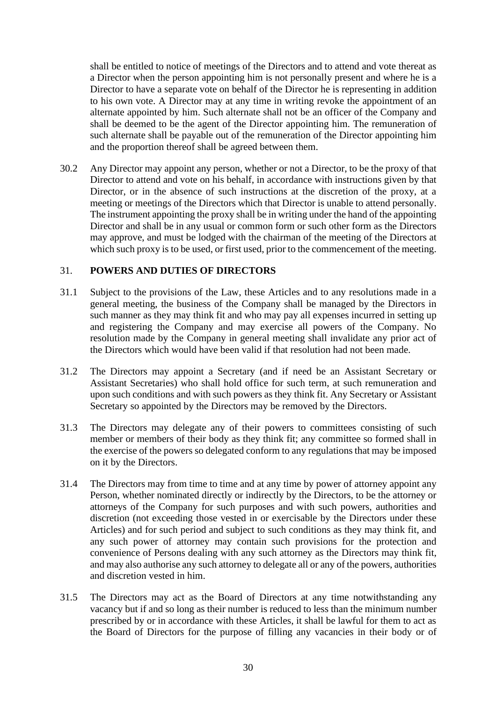shall be entitled to notice of meetings of the Directors and to attend and vote thereat as a Director when the person appointing him is not personally present and where he is a Director to have a separate vote on behalf of the Director he is representing in addition to his own vote. A Director may at any time in writing revoke the appointment of an alternate appointed by him. Such alternate shall not be an officer of the Company and shall be deemed to be the agent of the Director appointing him. The remuneration of such alternate shall be payable out of the remuneration of the Director appointing him and the proportion thereof shall be agreed between them.

30.2 Any Director may appoint any person, whether or not a Director, to be the proxy of that Director to attend and vote on his behalf, in accordance with instructions given by that Director, or in the absence of such instructions at the discretion of the proxy, at a meeting or meetings of the Directors which that Director is unable to attend personally. The instrument appointing the proxy shall be in writing under the hand of the appointing Director and shall be in any usual or common form or such other form as the Directors may approve, and must be lodged with the chairman of the meeting of the Directors at which such proxy is to be used, or first used, prior to the commencement of the meeting.

### 31. **POWERS AND DUTIES OF DIRECTORS**

- 31.1 Subject to the provisions of the Law, these Articles and to any resolutions made in a general meeting, the business of the Company shall be managed by the Directors in such manner as they may think fit and who may pay all expenses incurred in setting up and registering the Company and may exercise all powers of the Company. No resolution made by the Company in general meeting shall invalidate any prior act of the Directors which would have been valid if that resolution had not been made.
- 31.2 The Directors may appoint a Secretary (and if need be an Assistant Secretary or Assistant Secretaries) who shall hold office for such term, at such remuneration and upon such conditions and with such powers as they think fit. Any Secretary or Assistant Secretary so appointed by the Directors may be removed by the Directors.
- 31.3 The Directors may delegate any of their powers to committees consisting of such member or members of their body as they think fit; any committee so formed shall in the exercise of the powers so delegated conform to any regulations that may be imposed on it by the Directors.
- 31.4 The Directors may from time to time and at any time by power of attorney appoint any Person, whether nominated directly or indirectly by the Directors, to be the attorney or attorneys of the Company for such purposes and with such powers, authorities and discretion (not exceeding those vested in or exercisable by the Directors under these Articles) and for such period and subject to such conditions as they may think fit, and any such power of attorney may contain such provisions for the protection and convenience of Persons dealing with any such attorney as the Directors may think fit, and may also authorise any such attorney to delegate all or any of the powers, authorities and discretion vested in him.
- 31.5 The Directors may act as the Board of Directors at any time notwithstanding any vacancy but if and so long as their number is reduced to less than the minimum number prescribed by or in accordance with these Articles, it shall be lawful for them to act as the Board of Directors for the purpose of filling any vacancies in their body or of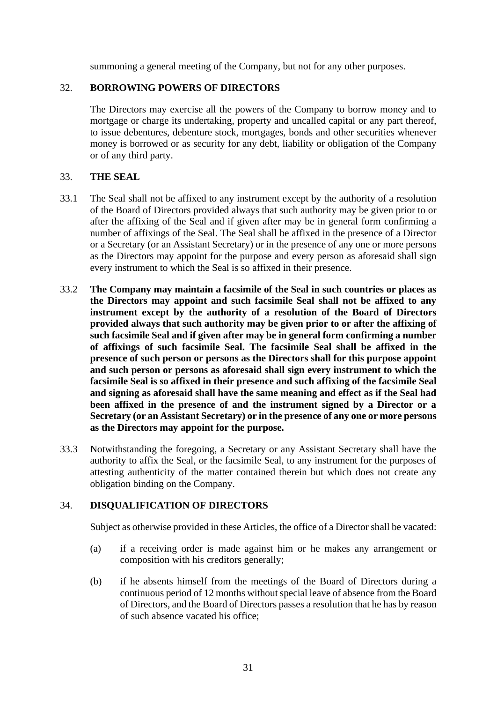summoning a general meeting of the Company, but not for any other purposes.

## 32. **BORROWING POWERS OF DIRECTORS**

The Directors may exercise all the powers of the Company to borrow money and to mortgage or charge its undertaking, property and uncalled capital or any part thereof, to issue debentures, debenture stock, mortgages, bonds and other securities whenever money is borrowed or as security for any debt, liability or obligation of the Company or of any third party.

### 33. **THE SEAL**

- 33.1 The Seal shall not be affixed to any instrument except by the authority of a resolution of the Board of Directors provided always that such authority may be given prior to or after the affixing of the Seal and if given after may be in general form confirming a number of affixings of the Seal. The Seal shall be affixed in the presence of a Director or a Secretary (or an Assistant Secretary) or in the presence of any one or more persons as the Directors may appoint for the purpose and every person as aforesaid shall sign every instrument to which the Seal is so affixed in their presence.
- 33.2 **The Company may maintain a facsimile of the Seal in such countries or places as the Directors may appoint and such facsimile Seal shall not be affixed to any instrument except by the authority of a resolution of the Board of Directors provided always that such authority may be given prior to or after the affixing of such facsimile Seal and if given after may be in general form confirming a number of affixings of such facsimile Seal. The facsimile Seal shall be affixed in the presence of such person or persons as the Directors shall for this purpose appoint and such person or persons as aforesaid shall sign every instrument to which the facsimile Seal is so affixed in their presence and such affixing of the facsimile Seal and signing as aforesaid shall have the same meaning and effect as if the Seal had been affixed in the presence of and the instrument signed by a Director or a Secretary (or an Assistant Secretary) or in the presence of any one or more persons as the Directors may appoint for the purpose.**
- 33.3 Notwithstanding the foregoing, a Secretary or any Assistant Secretary shall have the authority to affix the Seal, or the facsimile Seal, to any instrument for the purposes of attesting authenticity of the matter contained therein but which does not create any obligation binding on the Company.

#### 34. **DISQUALIFICATION OF DIRECTORS**

Subject as otherwise provided in these Articles, the office of a Director shall be vacated:

- (a) if a receiving order is made against him or he makes any arrangement or composition with his creditors generally;
- (b) if he absents himself from the meetings of the Board of Directors during a continuous period of 12 months without special leave of absence from the Board of Directors, and the Board of Directors passes a resolution that he has by reason of such absence vacated his office;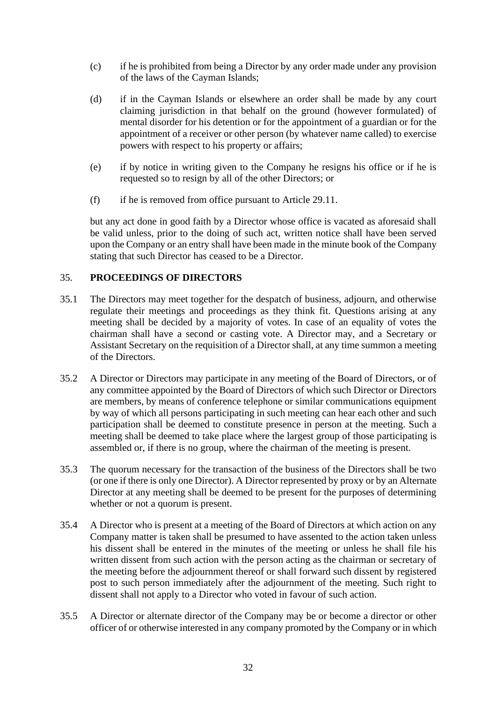- (c) if he is prohibited from being a Director by any order made under any provision of the laws of the Cayman Islands;
- (d) if in the Cayman Islands or elsewhere an order shall be made by any court claiming jurisdiction in that behalf on the ground (however formulated) of mental disorder for his detention or for the appointment of a guardian or for the appointment of a receiver or other person (by whatever name called) to exercise powers with respect to his property or affairs;
- (e) if by notice in writing given to the Company he resigns his office or if he is requested so to resign by all of the other Directors; or
- (f) if he is removed from office pursuant to Article 29.11.

but any act done in good faith by a Director whose office is vacated as aforesaid shall be valid unless, prior to the doing of such act, written notice shall have been served upon the Company or an entry shall have been made in the minute book of the Company stating that such Director has ceased to be a Director.

### 35. **PROCEEDINGS OF DIRECTORS**

- 35.1 The Directors may meet together for the despatch of business, adjourn, and otherwise regulate their meetings and proceedings as they think fit. Questions arising at any meeting shall be decided by a majority of votes. In case of an equality of votes the chairman shall have a second or casting vote. A Director may, and a Secretary or Assistant Secretary on the requisition of a Director shall, at any time summon a meeting of the Directors.
- 35.2 A Director or Directors may participate in any meeting of the Board of Directors, or of any committee appointed by the Board of Directors of which such Director or Directors are members, by means of conference telephone or similar communications equipment by way of which all persons participating in such meeting can hear each other and such participation shall be deemed to constitute presence in person at the meeting. Such a meeting shall be deemed to take place where the largest group of those participating is assembled or, if there is no group, where the chairman of the meeting is present.
- 35.3 The quorum necessary for the transaction of the business of the Directors shall be two (or one if there is only one Director). A Director represented by proxy or by an Alternate Director at any meeting shall be deemed to be present for the purposes of determining whether or not a quorum is present.
- 35.4 A Director who is present at a meeting of the Board of Directors at which action on any Company matter is taken shall be presumed to have assented to the action taken unless his dissent shall be entered in the minutes of the meeting or unless he shall file his written dissent from such action with the person acting as the chairman or secretary of the meeting before the adjournment thereof or shall forward such dissent by registered post to such person immediately after the adjournment of the meeting. Such right to dissent shall not apply to a Director who voted in favour of such action.
- 35.5 A Director or alternate director of the Company may be or become a director or other officer of or otherwise interested in any company promoted by the Company or in which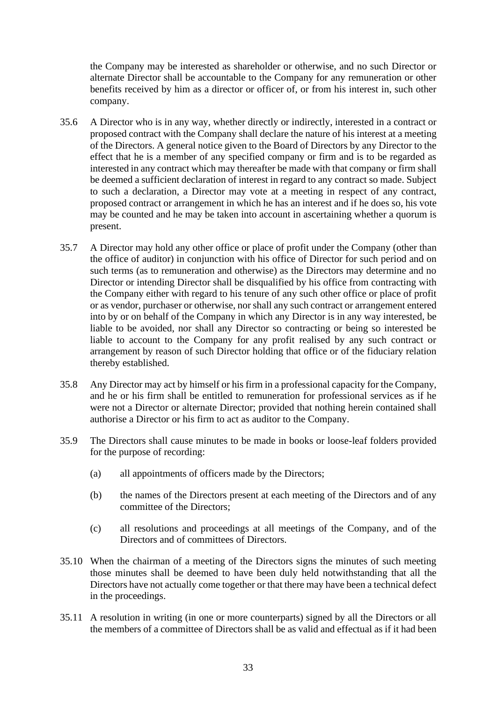the Company may be interested as shareholder or otherwise, and no such Director or alternate Director shall be accountable to the Company for any remuneration or other benefits received by him as a director or officer of, or from his interest in, such other company.

- 35.6 A Director who is in any way, whether directly or indirectly, interested in a contract or proposed contract with the Company shall declare the nature of his interest at a meeting of the Directors. A general notice given to the Board of Directors by any Director to the effect that he is a member of any specified company or firm and is to be regarded as interested in any contract which may thereafter be made with that company or firm shall be deemed a sufficient declaration of interest in regard to any contract so made. Subject to such a declaration, a Director may vote at a meeting in respect of any contract, proposed contract or arrangement in which he has an interest and if he does so, his vote may be counted and he may be taken into account in ascertaining whether a quorum is present.
- 35.7 A Director may hold any other office or place of profit under the Company (other than the office of auditor) in conjunction with his office of Director for such period and on such terms (as to remuneration and otherwise) as the Directors may determine and no Director or intending Director shall be disqualified by his office from contracting with the Company either with regard to his tenure of any such other office or place of profit or as vendor, purchaser or otherwise, nor shall any such contract or arrangement entered into by or on behalf of the Company in which any Director is in any way interested, be liable to be avoided, nor shall any Director so contracting or being so interested be liable to account to the Company for any profit realised by any such contract or arrangement by reason of such Director holding that office or of the fiduciary relation thereby established.
- 35.8 Any Director may act by himself or his firm in a professional capacity for the Company, and he or his firm shall be entitled to remuneration for professional services as if he were not a Director or alternate Director; provided that nothing herein contained shall authorise a Director or his firm to act as auditor to the Company.
- 35.9 The Directors shall cause minutes to be made in books or loose-leaf folders provided for the purpose of recording:
	- (a) all appointments of officers made by the Directors;
	- (b) the names of the Directors present at each meeting of the Directors and of any committee of the Directors;
	- (c) all resolutions and proceedings at all meetings of the Company, and of the Directors and of committees of Directors.
- 35.10 When the chairman of a meeting of the Directors signs the minutes of such meeting those minutes shall be deemed to have been duly held notwithstanding that all the Directors have not actually come together or that there may have been a technical defect in the proceedings.
- 35.11 A resolution in writing (in one or more counterparts) signed by all the Directors or all the members of a committee of Directors shall be as valid and effectual as if it had been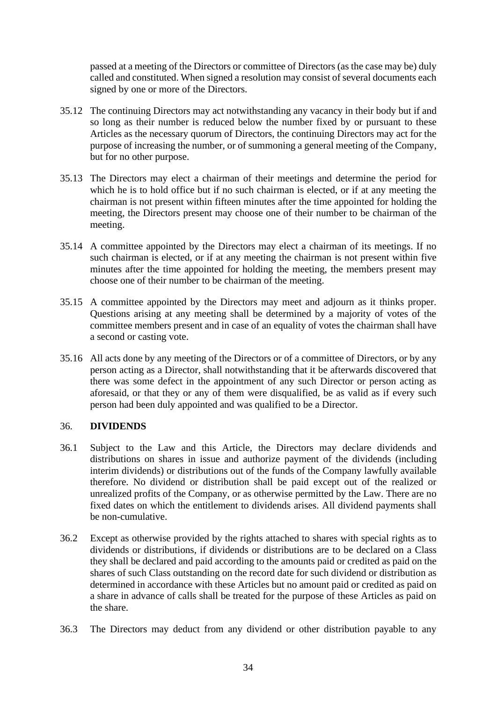passed at a meeting of the Directors or committee of Directors (as the case may be) duly called and constituted. When signed a resolution may consist of several documents each signed by one or more of the Directors.

- 35.12 The continuing Directors may act notwithstanding any vacancy in their body but if and so long as their number is reduced below the number fixed by or pursuant to these Articles as the necessary quorum of Directors, the continuing Directors may act for the purpose of increasing the number, or of summoning a general meeting of the Company, but for no other purpose.
- 35.13 The Directors may elect a chairman of their meetings and determine the period for which he is to hold office but if no such chairman is elected, or if at any meeting the chairman is not present within fifteen minutes after the time appointed for holding the meeting, the Directors present may choose one of their number to be chairman of the meeting.
- 35.14 A committee appointed by the Directors may elect a chairman of its meetings. If no such chairman is elected, or if at any meeting the chairman is not present within five minutes after the time appointed for holding the meeting, the members present may choose one of their number to be chairman of the meeting.
- 35.15 A committee appointed by the Directors may meet and adjourn as it thinks proper. Questions arising at any meeting shall be determined by a majority of votes of the committee members present and in case of an equality of votes the chairman shall have a second or casting vote.
- 35.16 All acts done by any meeting of the Directors or of a committee of Directors, or by any person acting as a Director, shall notwithstanding that it be afterwards discovered that there was some defect in the appointment of any such Director or person acting as aforesaid, or that they or any of them were disqualified, be as valid as if every such person had been duly appointed and was qualified to be a Director.

## 36. **DIVIDENDS**

- 36.1 Subject to the Law and this Article, the Directors may declare dividends and distributions on shares in issue and authorize payment of the dividends (including interim dividends) or distributions out of the funds of the Company lawfully available therefore. No dividend or distribution shall be paid except out of the realized or unrealized profits of the Company, or as otherwise permitted by the Law. There are no fixed dates on which the entitlement to dividends arises. All dividend payments shall be non-cumulative.
- 36.2 Except as otherwise provided by the rights attached to shares with special rights as to dividends or distributions, if dividends or distributions are to be declared on a Class they shall be declared and paid according to the amounts paid or credited as paid on the shares of such Class outstanding on the record date for such dividend or distribution as determined in accordance with these Articles but no amount paid or credited as paid on a share in advance of calls shall be treated for the purpose of these Articles as paid on the share.
- 36.3 The Directors may deduct from any dividend or other distribution payable to any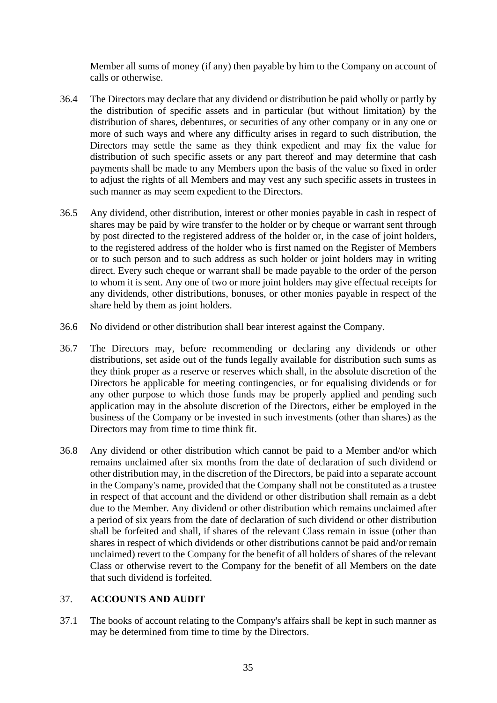Member all sums of money (if any) then payable by him to the Company on account of calls or otherwise.

- 36.4 The Directors may declare that any dividend or distribution be paid wholly or partly by the distribution of specific assets and in particular (but without limitation) by the distribution of shares, debentures, or securities of any other company or in any one or more of such ways and where any difficulty arises in regard to such distribution, the Directors may settle the same as they think expedient and may fix the value for distribution of such specific assets or any part thereof and may determine that cash payments shall be made to any Members upon the basis of the value so fixed in order to adjust the rights of all Members and may vest any such specific assets in trustees in such manner as may seem expedient to the Directors.
- 36.5 Any dividend, other distribution, interest or other monies payable in cash in respect of shares may be paid by wire transfer to the holder or by cheque or warrant sent through by post directed to the registered address of the holder or, in the case of joint holders, to the registered address of the holder who is first named on the Register of Members or to such person and to such address as such holder or joint holders may in writing direct. Every such cheque or warrant shall be made payable to the order of the person to whom it is sent. Any one of two or more joint holders may give effectual receipts for any dividends, other distributions, bonuses, or other monies payable in respect of the share held by them as joint holders.
- 36.6 No dividend or other distribution shall bear interest against the Company.
- 36.7 The Directors may, before recommending or declaring any dividends or other distributions, set aside out of the funds legally available for distribution such sums as they think proper as a reserve or reserves which shall, in the absolute discretion of the Directors be applicable for meeting contingencies, or for equalising dividends or for any other purpose to which those funds may be properly applied and pending such application may in the absolute discretion of the Directors, either be employed in the business of the Company or be invested in such investments (other than shares) as the Directors may from time to time think fit.
- 36.8 Any dividend or other distribution which cannot be paid to a Member and/or which remains unclaimed after six months from the date of declaration of such dividend or other distribution may, in the discretion of the Directors, be paid into a separate account in the Company's name, provided that the Company shall not be constituted as a trustee in respect of that account and the dividend or other distribution shall remain as a debt due to the Member. Any dividend or other distribution which remains unclaimed after a period of six years from the date of declaration of such dividend or other distribution shall be forfeited and shall, if shares of the relevant Class remain in issue (other than shares in respect of which dividends or other distributions cannot be paid and/or remain unclaimed) revert to the Company for the benefit of all holders of shares of the relevant Class or otherwise revert to the Company for the benefit of all Members on the date that such dividend is forfeited.

## 37. **ACCOUNTS AND AUDIT**

37.1 The books of account relating to the Company's affairs shall be kept in such manner as may be determined from time to time by the Directors.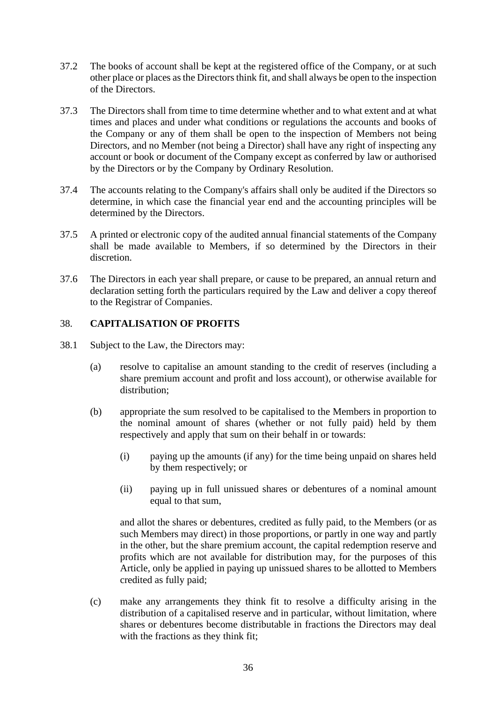- 37.2 The books of account shall be kept at the registered office of the Company, or at such other place or places as the Directors think fit, and shall always be open to the inspection of the Directors.
- 37.3 The Directors shall from time to time determine whether and to what extent and at what times and places and under what conditions or regulations the accounts and books of the Company or any of them shall be open to the inspection of Members not being Directors, and no Member (not being a Director) shall have any right of inspecting any account or book or document of the Company except as conferred by law or authorised by the Directors or by the Company by Ordinary Resolution.
- 37.4 The accounts relating to the Company's affairs shall only be audited if the Directors so determine, in which case the financial year end and the accounting principles will be determined by the Directors.
- 37.5 A printed or electronic copy of the audited annual financial statements of the Company shall be made available to Members, if so determined by the Directors in their discretion.
- 37.6 The Directors in each year shall prepare, or cause to be prepared, an annual return and declaration setting forth the particulars required by the Law and deliver a copy thereof to the Registrar of Companies.

## 38. **CAPITALISATION OF PROFITS**

- 38.1 Subject to the Law, the Directors may:
	- (a) resolve to capitalise an amount standing to the credit of reserves (including a share premium account and profit and loss account), or otherwise available for distribution:
	- (b) appropriate the sum resolved to be capitalised to the Members in proportion to the nominal amount of shares (whether or not fully paid) held by them respectively and apply that sum on their behalf in or towards:
		- (i) paying up the amounts (if any) for the time being unpaid on shares held by them respectively; or
		- (ii) paying up in full unissued shares or debentures of a nominal amount equal to that sum,

and allot the shares or debentures, credited as fully paid, to the Members (or as such Members may direct) in those proportions, or partly in one way and partly in the other, but the share premium account, the capital redemption reserve and profits which are not available for distribution may, for the purposes of this Article, only be applied in paying up unissued shares to be allotted to Members credited as fully paid;

(c) make any arrangements they think fit to resolve a difficulty arising in the distribution of a capitalised reserve and in particular, without limitation, where shares or debentures become distributable in fractions the Directors may deal with the fractions as they think fit;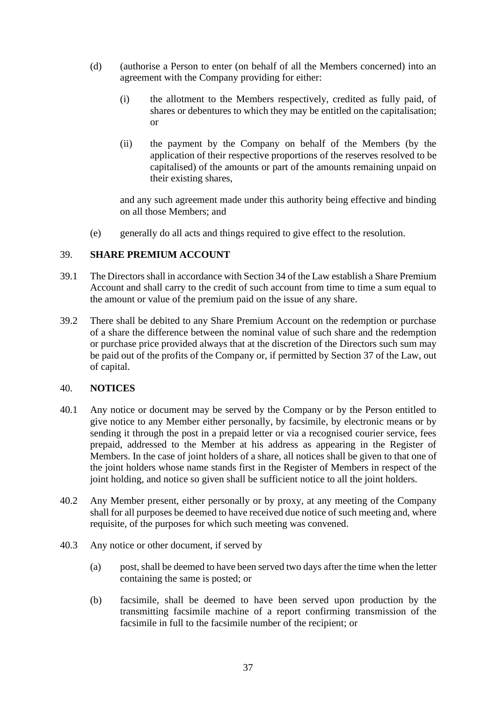- (d) (authorise a Person to enter (on behalf of all the Members concerned) into an agreement with the Company providing for either:
	- (i) the allotment to the Members respectively, credited as fully paid, of shares or debentures to which they may be entitled on the capitalisation; or
	- (ii) the payment by the Company on behalf of the Members (by the application of their respective proportions of the reserves resolved to be capitalised) of the amounts or part of the amounts remaining unpaid on their existing shares,

and any such agreement made under this authority being effective and binding on all those Members; and

(e) generally do all acts and things required to give effect to the resolution.

## 39. **SHARE PREMIUM ACCOUNT**

- 39.1 The Directors shall in accordance with Section 34 of the Law establish a Share Premium Account and shall carry to the credit of such account from time to time a sum equal to the amount or value of the premium paid on the issue of any share.
- 39.2 There shall be debited to any Share Premium Account on the redemption or purchase of a share the difference between the nominal value of such share and the redemption or purchase price provided always that at the discretion of the Directors such sum may be paid out of the profits of the Company or, if permitted by Section 37 of the Law, out of capital.

#### 40. **NOTICES**

- 40.1 Any notice or document may be served by the Company or by the Person entitled to give notice to any Member either personally, by facsimile, by electronic means or by sending it through the post in a prepaid letter or via a recognised courier service, fees prepaid, addressed to the Member at his address as appearing in the Register of Members. In the case of joint holders of a share, all notices shall be given to that one of the joint holders whose name stands first in the Register of Members in respect of the joint holding, and notice so given shall be sufficient notice to all the joint holders.
- 40.2 Any Member present, either personally or by proxy, at any meeting of the Company shall for all purposes be deemed to have received due notice of such meeting and, where requisite, of the purposes for which such meeting was convened.
- 40.3 Any notice or other document, if served by
	- (a) post, shall be deemed to have been served two days after the time when the letter containing the same is posted; or
	- (b) facsimile, shall be deemed to have been served upon production by the transmitting facsimile machine of a report confirming transmission of the facsimile in full to the facsimile number of the recipient; or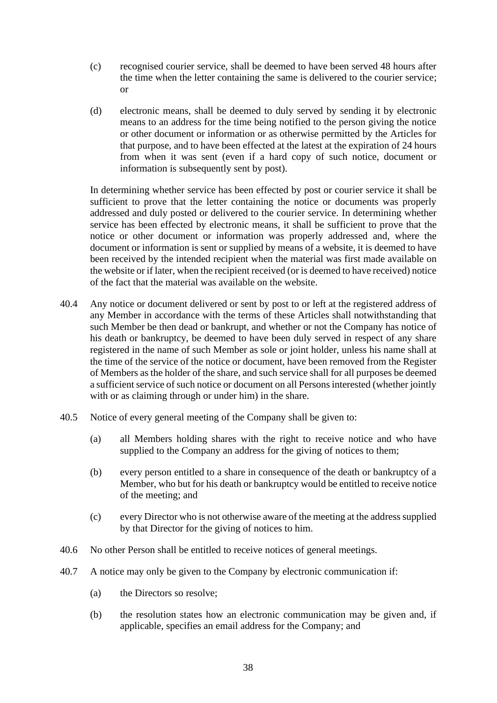- (c) recognised courier service, shall be deemed to have been served 48 hours after the time when the letter containing the same is delivered to the courier service; or
- (d) electronic means, shall be deemed to duly served by sending it by electronic means to an address for the time being notified to the person giving the notice or other document or information or as otherwise permitted by the Articles for that purpose, and to have been effected at the latest at the expiration of 24 hours from when it was sent (even if a hard copy of such notice, document or information is subsequently sent by post).

In determining whether service has been effected by post or courier service it shall be sufficient to prove that the letter containing the notice or documents was properly addressed and duly posted or delivered to the courier service. In determining whether service has been effected by electronic means, it shall be sufficient to prove that the notice or other document or information was properly addressed and, where the document or information is sent or supplied by means of a website, it is deemed to have been received by the intended recipient when the material was first made available on the website or if later, when the recipient received (or is deemed to have received) notice of the fact that the material was available on the website.

- 40.4 Any notice or document delivered or sent by post to or left at the registered address of any Member in accordance with the terms of these Articles shall notwithstanding that such Member be then dead or bankrupt, and whether or not the Company has notice of his death or bankruptcy, be deemed to have been duly served in respect of any share registered in the name of such Member as sole or joint holder, unless his name shall at the time of the service of the notice or document, have been removed from the Register of Members as the holder of the share, and such service shall for all purposes be deemed a sufficient service of such notice or document on all Persons interested (whether jointly with or as claiming through or under him) in the share.
- 40.5 Notice of every general meeting of the Company shall be given to:
	- (a) all Members holding shares with the right to receive notice and who have supplied to the Company an address for the giving of notices to them;
	- (b) every person entitled to a share in consequence of the death or bankruptcy of a Member, who but for his death or bankruptcy would be entitled to receive notice of the meeting; and
	- (c) every Director who is not otherwise aware of the meeting at the address supplied by that Director for the giving of notices to him.
- 40.6 No other Person shall be entitled to receive notices of general meetings.
- 40.7 A notice may only be given to the Company by electronic communication if:
	- (a) the Directors so resolve;
	- (b) the resolution states how an electronic communication may be given and, if applicable, specifies an email address for the Company; and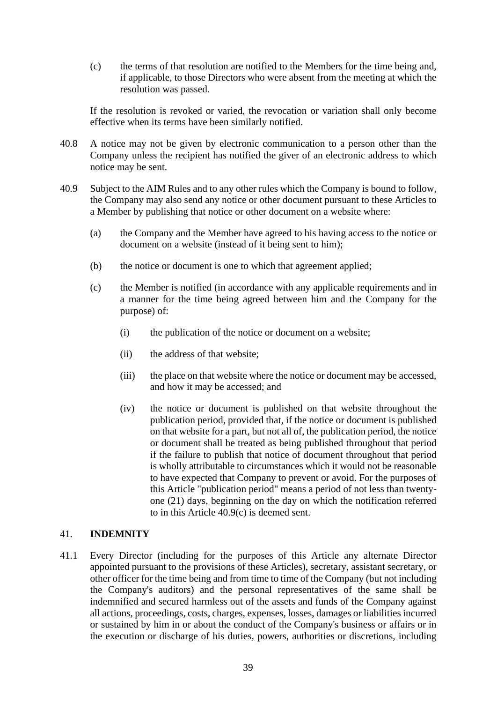(c) the terms of that resolution are notified to the Members for the time being and, if applicable, to those Directors who were absent from the meeting at which the resolution was passed.

If the resolution is revoked or varied, the revocation or variation shall only become effective when its terms have been similarly notified.

- 40.8 A notice may not be given by electronic communication to a person other than the Company unless the recipient has notified the giver of an electronic address to which notice may be sent.
- 40.9 Subject to the AIM Rules and to any other rules which the Company is bound to follow, the Company may also send any notice or other document pursuant to these Articles to a Member by publishing that notice or other document on a website where:
	- (a) the Company and the Member have agreed to his having access to the notice or document on a website (instead of it being sent to him);
	- (b) the notice or document is one to which that agreement applied;
	- (c) the Member is notified (in accordance with any applicable requirements and in a manner for the time being agreed between him and the Company for the purpose) of:
		- (i) the publication of the notice or document on a website;
		- (ii) the address of that website;
		- (iii) the place on that website where the notice or document may be accessed, and how it may be accessed; and
		- (iv) the notice or document is published on that website throughout the publication period, provided that, if the notice or document is published on that website for a part, but not all of, the publication period, the notice or document shall be treated as being published throughout that period if the failure to publish that notice of document throughout that period is wholly attributable to circumstances which it would not be reasonable to have expected that Company to prevent or avoid. For the purposes of this Article "publication period" means a period of not less than twentyone (21) days, beginning on the day on which the notification referred to in this Article 40.9(c) is deemed sent.

### 41. **INDEMNITY**

41.1 Every Director (including for the purposes of this Article any alternate Director appointed pursuant to the provisions of these Articles), secretary, assistant secretary, or other officer for the time being and from time to time of the Company (but not including the Company's auditors) and the personal representatives of the same shall be indemnified and secured harmless out of the assets and funds of the Company against all actions, proceedings, costs, charges, expenses, losses, damages or liabilities incurred or sustained by him in or about the conduct of the Company's business or affairs or in the execution or discharge of his duties, powers, authorities or discretions, including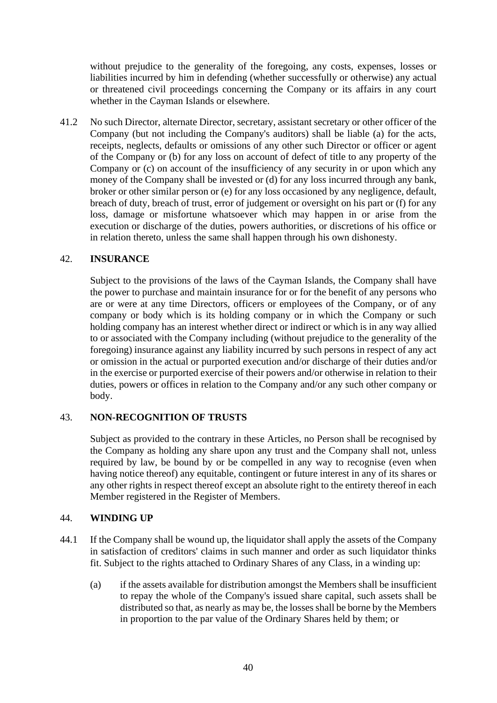without prejudice to the generality of the foregoing, any costs, expenses, losses or liabilities incurred by him in defending (whether successfully or otherwise) any actual or threatened civil proceedings concerning the Company or its affairs in any court whether in the Cayman Islands or elsewhere.

41.2 No such Director, alternate Director, secretary, assistant secretary or other officer of the Company (but not including the Company's auditors) shall be liable (a) for the acts, receipts, neglects, defaults or omissions of any other such Director or officer or agent of the Company or (b) for any loss on account of defect of title to any property of the Company or (c) on account of the insufficiency of any security in or upon which any money of the Company shall be invested or (d) for any loss incurred through any bank, broker or other similar person or (e) for any loss occasioned by any negligence, default, breach of duty, breach of trust, error of judgement or oversight on his part or (f) for any loss, damage or misfortune whatsoever which may happen in or arise from the execution or discharge of the duties, powers authorities, or discretions of his office or in relation thereto, unless the same shall happen through his own dishonesty.

## 42. **INSURANCE**

Subject to the provisions of the laws of the Cayman Islands, the Company shall have the power to purchase and maintain insurance for or for the benefit of any persons who are or were at any time Directors, officers or employees of the Company, or of any company or body which is its holding company or in which the Company or such holding company has an interest whether direct or indirect or which is in any way allied to or associated with the Company including (without prejudice to the generality of the foregoing) insurance against any liability incurred by such persons in respect of any act or omission in the actual or purported execution and/or discharge of their duties and/or in the exercise or purported exercise of their powers and/or otherwise in relation to their duties, powers or offices in relation to the Company and/or any such other company or body.

#### 43. **NON-RECOGNITION OF TRUSTS**

Subject as provided to the contrary in these Articles, no Person shall be recognised by the Company as holding any share upon any trust and the Company shall not, unless required by law, be bound by or be compelled in any way to recognise (even when having notice thereof) any equitable, contingent or future interest in any of its shares or any other rights in respect thereof except an absolute right to the entirety thereof in each Member registered in the Register of Members.

## 44. **WINDING UP**

- 44.1 If the Company shall be wound up, the liquidator shall apply the assets of the Company in satisfaction of creditors' claims in such manner and order as such liquidator thinks fit. Subject to the rights attached to Ordinary Shares of any Class, in a winding up:
	- (a) if the assets available for distribution amongst the Members shall be insufficient to repay the whole of the Company's issued share capital, such assets shall be distributed so that, as nearly as may be, the losses shall be borne by the Members in proportion to the par value of the Ordinary Shares held by them; or